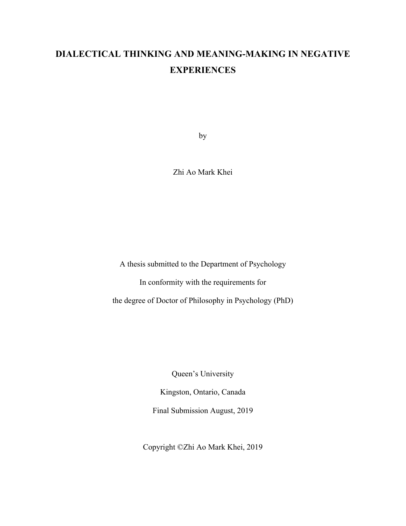# **DIALECTICAL THINKING AND MEANING-MAKING IN NEGATIVE EXPERIENCES**

by

Zhi Ao Mark Khei

A thesis submitted to the Department of Psychology

In conformity with the requirements for

the degree of Doctor of Philosophy in Psychology (PhD)

Queen's University

Kingston, Ontario, Canada Final Submission August, 2019

Copyright ©Zhi Ao Mark Khei, 2019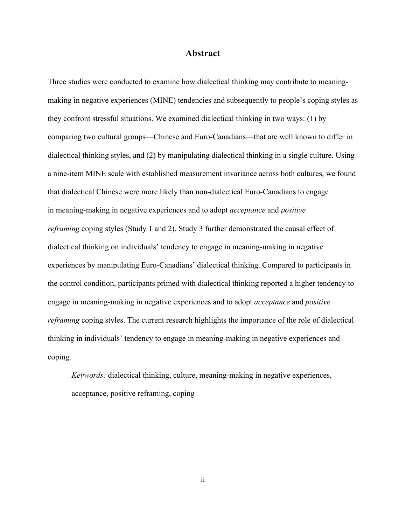#### **Abstract**

Three studies were conducted to examine how dialectical thinking may contribute to meaningmaking in negative experiences (MINE) tendencies and subsequently to people's coping styles as they confront stressful situations. We examined dialectical thinking in two ways: (1) by comparing two cultural groups—Chinese and Euro-Canadians—that are well known to differ in dialectical thinking styles, and (2) by manipulating dialectical thinking in a single culture. Using a nine-item MINE scale with established measurement invariance across both cultures, we found that dialectical Chinese were more likely than non-dialectical Euro-Canadians to engage in meaning-making in negative experiences and to adopt *acceptance* and *positive reframing* coping styles (Study 1 and 2). Study 3 further demonstrated the causal effect of dialectical thinking on individuals' tendency to engage in meaning-making in negative experiences by manipulating Euro-Canadians' dialectical thinking. Compared to participants in the control condition, participants primed with dialectical thinking reported a higher tendency to engage in meaning-making in negative experiences and to adopt *acceptance* and *positive reframing* coping styles. The current research highlights the importance of the role of dialectical thinking in individuals' tendency to engage in meaning-making in negative experiences and coping.

*Keywords:* dialectical thinking, culture, meaning-making in negative experiences, acceptance, positive reframing, coping

ii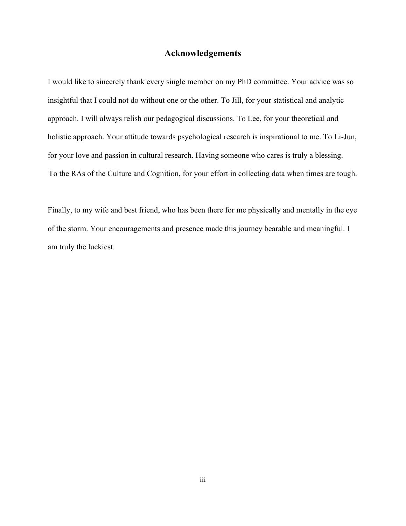### **Acknowledgements**

I would like to sincerely thank every single member on my PhD committee. Your advice was so insightful that I could not do without one or the other. To Jill, for your statistical and analytic approach. I will always relish our pedagogical discussions. To Lee, for your theoretical and holistic approach. Your attitude towards psychological research is inspirational to me. To Li-Jun, for your love and passion in cultural research. Having someone who cares is truly a blessing. To the RAs of the Culture and Cognition, for your effort in collecting data when times are tough.

Finally, to my wife and best friend, who has been there for me physically and mentally in the eye of the storm. Your encouragements and presence made this journey bearable and meaningful. I am truly the luckiest.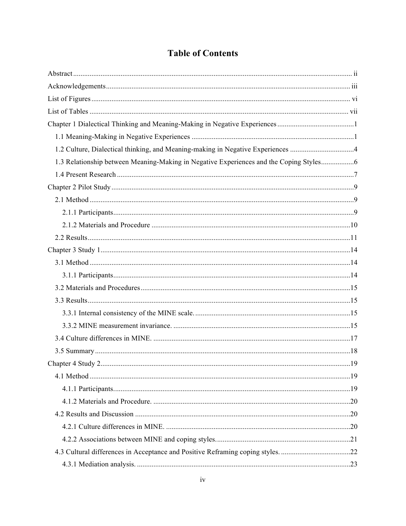# **Table of Contents**

| 1.2 Culture, Dialectical thinking, and Meaning-making in Negative Experiences 4        |  |
|----------------------------------------------------------------------------------------|--|
| 1.3 Relationship between Meaning-Making in Negative Experiences and the Coping Styles6 |  |
|                                                                                        |  |
|                                                                                        |  |
|                                                                                        |  |
|                                                                                        |  |
|                                                                                        |  |
|                                                                                        |  |
|                                                                                        |  |
|                                                                                        |  |
|                                                                                        |  |
|                                                                                        |  |
|                                                                                        |  |
|                                                                                        |  |
|                                                                                        |  |
|                                                                                        |  |
|                                                                                        |  |
|                                                                                        |  |
|                                                                                        |  |
|                                                                                        |  |
|                                                                                        |  |
|                                                                                        |  |
|                                                                                        |  |
|                                                                                        |  |
| 4.3 Cultural differences in Acceptance and Positive Reframing coping styles. 22        |  |
|                                                                                        |  |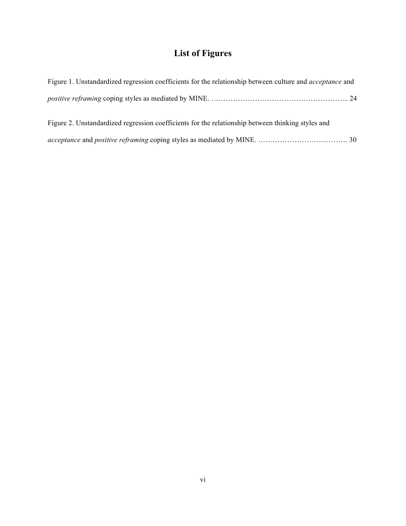# **List of Figures**

| Figure 1. Unstandardized regression coefficients for the relationship between culture and <i>acceptance</i> and |
|-----------------------------------------------------------------------------------------------------------------|
|                                                                                                                 |
| Figure 2. Unstandardized regression coefficients for the relationship between thinking styles and               |
|                                                                                                                 |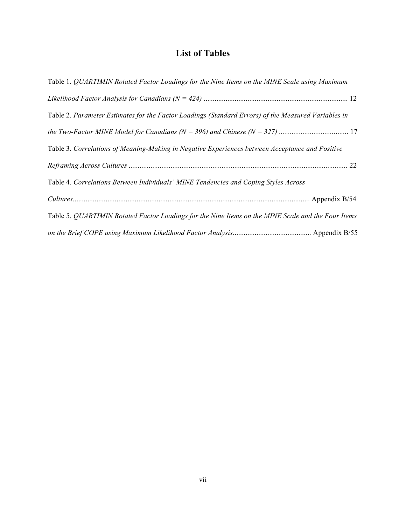## **List of Tables**

| Table 1. QUARTIMIN Rotated Factor Loadings for the Nine Items on the MINE Scale using Maximum       |
|-----------------------------------------------------------------------------------------------------|
|                                                                                                     |
| Table 2. Parameter Estimates for the Factor Loadings (Standard Errors) of the Measured Variables in |
|                                                                                                     |
| Table 3. Correlations of Meaning-Making in Negative Experiences between Acceptance and Positive     |
|                                                                                                     |
| Table 4. Correlations Between Individuals' MINE Tendencies and Coping Styles Across                 |
|                                                                                                     |
| Table 5. QUARTIMIN Rotated Factor Loadings for the Nine Items on the MINE Scale and the Four Items  |
|                                                                                                     |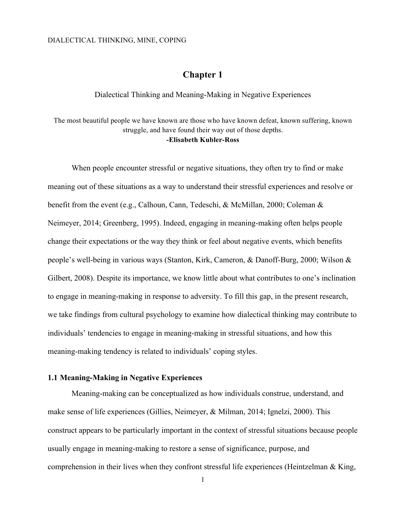### **Chapter 1**

Dialectical Thinking and Meaning-Making in Negative Experiences

The most beautiful people we have known are those who have known defeat, known suffering, known struggle, and have found their way out of those depths. **-Elisabeth Kubler-Ross**

When people encounter stressful or negative situations, they often try to find or make meaning out of these situations as a way to understand their stressful experiences and resolve or benefit from the event (e.g., Calhoun, Cann, Tedeschi, & McMillan, 2000; Coleman & Neimeyer, 2014; Greenberg, 1995). Indeed, engaging in meaning-making often helps people change their expectations or the way they think or feel about negative events, which benefits people's well-being in various ways (Stanton, Kirk, Cameron, & Danoff-Burg, 2000; Wilson & Gilbert, 2008). Despite its importance, we know little about what contributes to one's inclination to engage in meaning-making in response to adversity. To fill this gap, in the present research, we take findings from cultural psychology to examine how dialectical thinking may contribute to individuals' tendencies to engage in meaning-making in stressful situations, and how this meaning-making tendency is related to individuals' coping styles.

#### **1.1 Meaning-Making in Negative Experiences**

Meaning-making can be conceptualized as how individuals construe, understand, and make sense of life experiences (Gillies, Neimeyer, & Milman, 2014; Ignelzi, 2000). This construct appears to be particularly important in the context of stressful situations because people usually engage in meaning-making to restore a sense of significance, purpose, and comprehension in their lives when they confront stressful life experiences (Heintzelman & King,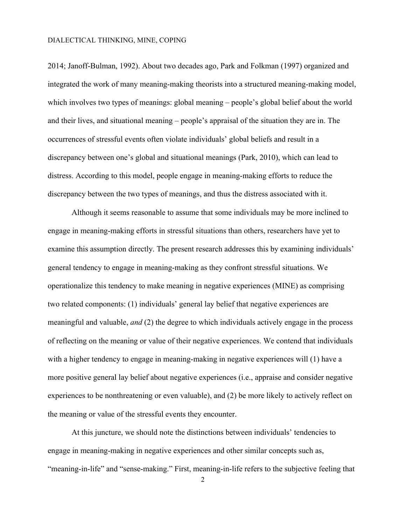2014; Janoff-Bulman, 1992). About two decades ago, Park and Folkman (1997) organized and integrated the work of many meaning-making theorists into a structured meaning-making model, which involves two types of meanings: global meaning – people's global belief about the world and their lives, and situational meaning – people's appraisal of the situation they are in. The occurrences of stressful events often violate individuals' global beliefs and result in a discrepancy between one's global and situational meanings (Park, 2010), which can lead to distress. According to this model, people engage in meaning-making efforts to reduce the discrepancy between the two types of meanings, and thus the distress associated with it.

Although it seems reasonable to assume that some individuals may be more inclined to engage in meaning-making efforts in stressful situations than others, researchers have yet to examine this assumption directly. The present research addresses this by examining individuals' general tendency to engage in meaning-making as they confront stressful situations. We operationalize this tendency to make meaning in negative experiences (MINE) as comprising two related components: (1) individuals' general lay belief that negative experiences are meaningful and valuable, *and* (2) the degree to which individuals actively engage in the process of reflecting on the meaning or value of their negative experiences. We contend that individuals with a higher tendency to engage in meaning-making in negative experiences will (1) have a more positive general lay belief about negative experiences (i.e., appraise and consider negative experiences to be nonthreatening or even valuable), and (2) be more likely to actively reflect on the meaning or value of the stressful events they encounter.

At this juncture, we should note the distinctions between individuals' tendencies to engage in meaning-making in negative experiences and other similar concepts such as, "meaning-in-life" and "sense-making." First, meaning-in-life refers to the subjective feeling that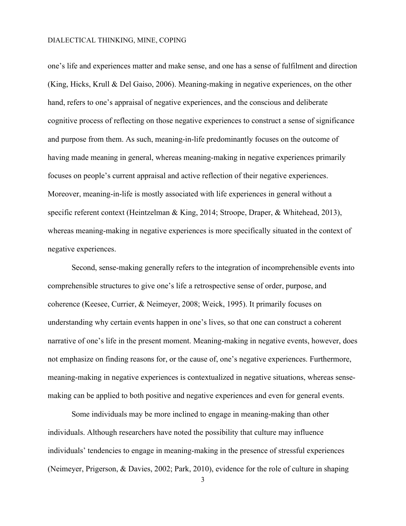one's life and experiences matter and make sense, and one has a sense of fulfilment and direction (King, Hicks, Krull & Del Gaiso, 2006). Meaning-making in negative experiences, on the other hand, refers to one's appraisal of negative experiences, and the conscious and deliberate cognitive process of reflecting on those negative experiences to construct a sense of significance and purpose from them. As such, meaning-in-life predominantly focuses on the outcome of having made meaning in general, whereas meaning-making in negative experiences primarily focuses on people's current appraisal and active reflection of their negative experiences. Moreover, meaning-in-life is mostly associated with life experiences in general without a specific referent context (Heintzelman & King, 2014; Stroope, Draper, & Whitehead, 2013), whereas meaning-making in negative experiences is more specifically situated in the context of negative experiences.

Second, sense-making generally refers to the integration of incomprehensible events into comprehensible structures to give one's life a retrospective sense of order, purpose, and coherence (Keesee, Currier, & Neimeyer, 2008; Weick, 1995). It primarily focuses on understanding why certain events happen in one's lives, so that one can construct a coherent narrative of one's life in the present moment. Meaning-making in negative events, however, does not emphasize on finding reasons for, or the cause of, one's negative experiences. Furthermore, meaning-making in negative experiences is contextualized in negative situations, whereas sensemaking can be applied to both positive and negative experiences and even for general events.

Some individuals may be more inclined to engage in meaning-making than other individuals. Although researchers have noted the possibility that culture may influence individuals' tendencies to engage in meaning-making in the presence of stressful experiences (Neimeyer, Prigerson, & Davies, 2002; Park, 2010), evidence for the role of culture in shaping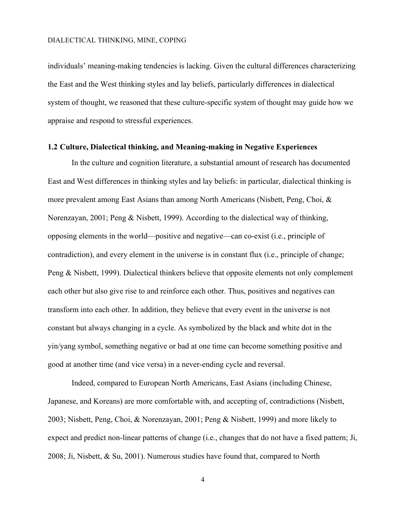individuals' meaning-making tendencies is lacking. Given the cultural differences characterizing the East and the West thinking styles and lay beliefs, particularly differences in dialectical system of thought, we reasoned that these culture-specific system of thought may guide how we appraise and respond to stressful experiences.

#### **1.2 Culture, Dialectical thinking, and Meaning-making in Negative Experiences**

In the culture and cognition literature, a substantial amount of research has documented East and West differences in thinking styles and lay beliefs: in particular, dialectical thinking is more prevalent among East Asians than among North Americans (Nisbett, Peng, Choi, & Norenzayan, 2001; Peng & Nisbett, 1999). According to the dialectical way of thinking, opposing elements in the world—positive and negative—can co-exist (i.e., principle of contradiction), and every element in the universe is in constant flux (i.e., principle of change; Peng & Nisbett, 1999). Dialectical thinkers believe that opposite elements not only complement each other but also give rise to and reinforce each other. Thus, positives and negatives can transform into each other. In addition, they believe that every event in the universe is not constant but always changing in a cycle. As symbolized by the black and white dot in the yin/yang symbol, something negative or bad at one time can become something positive and good at another time (and vice versa) in a never-ending cycle and reversal.

Indeed, compared to European North Americans, East Asians (including Chinese, Japanese, and Koreans) are more comfortable with, and accepting of, contradictions (Nisbett, 2003; Nisbett, Peng, Choi, & Norenzayan, 2001; Peng & Nisbett, 1999) and more likely to expect and predict non-linear patterns of change (i.e., changes that do not have a fixed pattern; Ji, 2008; Ji, Nisbett, & Su, 2001). Numerous studies have found that, compared to North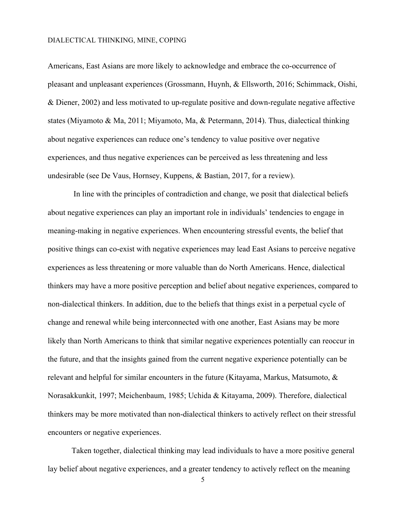Americans, East Asians are more likely to acknowledge and embrace the co-occurrence of pleasant and unpleasant experiences (Grossmann, Huynh, & Ellsworth, 2016; Schimmack, Oishi, & Diener, 2002) and less motivated to up-regulate positive and down-regulate negative affective states (Miyamoto & Ma, 2011; Miyamoto, Ma, & Petermann, 2014). Thus, dialectical thinking about negative experiences can reduce one's tendency to value positive over negative experiences, and thus negative experiences can be perceived as less threatening and less undesirable (see De Vaus, Hornsey, Kuppens, & Bastian, 2017, for a review).

In line with the principles of contradiction and change, we posit that dialectical beliefs about negative experiences can play an important role in individuals' tendencies to engage in meaning-making in negative experiences. When encountering stressful events, the belief that positive things can co-exist with negative experiences may lead East Asians to perceive negative experiences as less threatening or more valuable than do North Americans. Hence, dialectical thinkers may have a more positive perception and belief about negative experiences, compared to non-dialectical thinkers. In addition, due to the beliefs that things exist in a perpetual cycle of change and renewal while being interconnected with one another, East Asians may be more likely than North Americans to think that similar negative experiences potentially can reoccur in the future, and that the insights gained from the current negative experience potentially can be relevant and helpful for similar encounters in the future (Kitayama, Markus, Matsumoto, & Norasakkunkit, 1997; Meichenbaum, 1985; Uchida & Kitayama, 2009). Therefore, dialectical thinkers may be more motivated than non-dialectical thinkers to actively reflect on their stressful encounters or negative experiences.

Taken together, dialectical thinking may lead individuals to have a more positive general lay belief about negative experiences, and a greater tendency to actively reflect on the meaning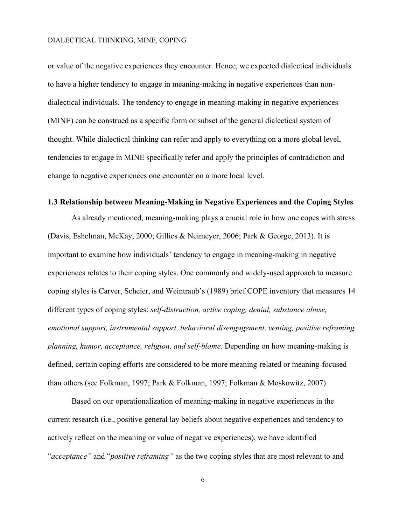or value of the negative experiences they encounter. Hence, we expected dialectical individuals to have a higher tendency to engage in meaning-making in negative experiences than nondialectical individuals. The tendency to engage in meaning-making in negative experiences (MINE) can be construed as a specific form or subset of the general dialectical system of thought. While dialectical thinking can refer and apply to everything on a more global level, tendencies to engage in MINE specifically refer and apply the principles of contradiction and change to negative experiences one encounter on a more local level.

#### **1.3 Relationship between Meaning-Making in Negative Experiences and the Coping Styles**

As already mentioned, meaning-making plays a crucial role in how one copes with stress (Davis, Eshelman, McKay, 2000; Gillies & Neimeyer, 2006; Park & George, 2013). It is important to examine how individuals' tendency to engage in meaning-making in negative experiences relates to their coping styles. One commonly and widely-used approach to measure coping styles is Carver, Scheier, and Weintraub's (1989) brief COPE inventory that measures 14 different types of coping styles: *self-distraction, active coping, denial, substance abuse, emotional support, instrumental support, behavioral disengagement, venting, positive reframing, planning, humor, acceptance, religion, and self-blame*. Depending on how meaning-making is defined, certain coping efforts are considered to be more meaning-related or meaning-focused than others (see Folkman, 1997; Park & Folkman, 1997; Folkman & Moskowitz, 2007).

Based on our operationalization of meaning-making in negative experiences in the current research (i.e., positive general lay beliefs about negative experiences and tendency to actively reflect on the meaning or value of negative experiences), we have identified "*acceptance"* and "*positive reframing"* as the two coping styles that are most relevant to and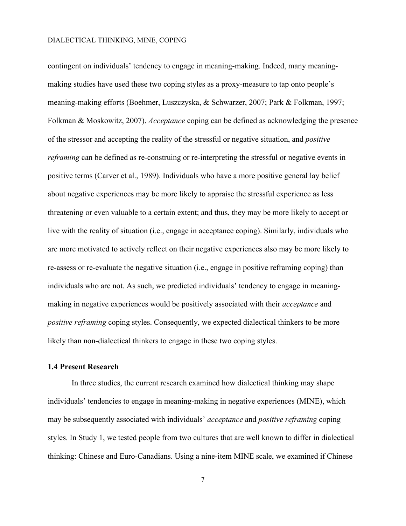contingent on individuals' tendency to engage in meaning-making. Indeed, many meaningmaking studies have used these two coping styles as a proxy-measure to tap onto people's meaning-making efforts (Boehmer, Luszczyska, & Schwarzer, 2007; Park & Folkman, 1997; Folkman & Moskowitz, 2007). *Acceptance* coping can be defined as acknowledging the presence of the stressor and accepting the reality of the stressful or negative situation, and *positive reframing* can be defined as re-construing or re-interpreting the stressful or negative events in positive terms (Carver et al., 1989). Individuals who have a more positive general lay belief about negative experiences may be more likely to appraise the stressful experience as less threatening or even valuable to a certain extent; and thus, they may be more likely to accept or live with the reality of situation (i.e., engage in acceptance coping). Similarly, individuals who are more motivated to actively reflect on their negative experiences also may be more likely to re-assess or re-evaluate the negative situation (i.e., engage in positive reframing coping) than individuals who are not. As such, we predicted individuals' tendency to engage in meaningmaking in negative experiences would be positively associated with their *acceptance* and *positive reframing* coping styles. Consequently, we expected dialectical thinkers to be more likely than non-dialectical thinkers to engage in these two coping styles.

#### **1.4 Present Research**

In three studies, the current research examined how dialectical thinking may shape individuals' tendencies to engage in meaning-making in negative experiences (MINE), which may be subsequently associated with individuals' *acceptance* and *positive reframing* coping styles. In Study 1, we tested people from two cultures that are well known to differ in dialectical thinking: Chinese and Euro-Canadians. Using a nine-item MINE scale, we examined if Chinese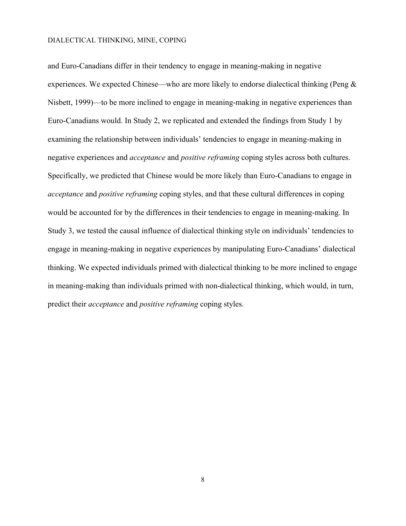and Euro-Canadians differ in their tendency to engage in meaning-making in negative experiences. We expected Chinese—who are more likely to endorse dialectical thinking (Peng & Nisbett, 1999)—to be more inclined to engage in meaning-making in negative experiences than Euro-Canadians would. In Study 2, we replicated and extended the findings from Study 1 by examining the relationship between individuals' tendencies to engage in meaning-making in negative experiences and *acceptance* and *positive reframing* coping styles across both cultures. Specifically, we predicted that Chinese would be more likely than Euro-Canadians to engage in *acceptance* and *positive reframing* coping styles, and that these cultural differences in coping would be accounted for by the differences in their tendencies to engage in meaning-making. In Study 3, we tested the causal influence of dialectical thinking style on individuals' tendencies to engage in meaning-making in negative experiences by manipulating Euro-Canadians' dialectical thinking. We expected individuals primed with dialectical thinking to be more inclined to engage in meaning-making than individuals primed with non-dialectical thinking, which would, in turn, predict their *acceptance* and *positive reframing* coping styles.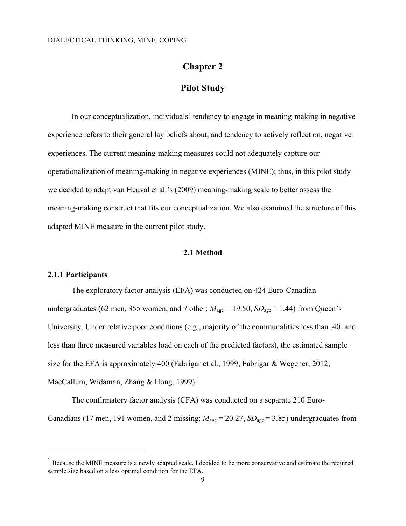### **Chapter 2**

### **Pilot Study**

In our conceptualization, individuals' tendency to engage in meaning-making in negative experience refers to their general lay beliefs about, and tendency to actively reflect on, negative experiences. The current meaning-making measures could not adequately capture our operationalization of meaning-making in negative experiences (MINE); thus, in this pilot study we decided to adapt van Heuval et al.'s (2009) meaning-making scale to better assess the meaning-making construct that fits our conceptualization. We also examined the structure of this adapted MINE measure in the current pilot study.

#### **2.1 Method**

#### **2.1.1 Participants**

 $\overline{a}$ 

The exploratory factor analysis (EFA) was conducted on 424 Euro-Canadian undergraduates (62 men, 355 women, and 7 other;  $M_{\text{age}} = 19.50$ ,  $SD_{\text{age}} = 1.44$ ) from Queen's University. Under relative poor conditions (e.g., majority of the communalities less than .40, and less than three measured variables load on each of the predicted factors), the estimated sample size for the EFA is approximately 400 (Fabrigar et al., 1999; Fabrigar & Wegener, 2012; MacCallum, Widaman, Zhang & Hong, 1999).<sup>1</sup>

The confirmatory factor analysis (CFA) was conducted on a separate 210 Euro-Canadians (17 men, 191 women, and 2 missing;  $M_{\text{age}} = 20.27$ ,  $SD_{\text{age}} = 3.85$ ) undergraduates from

<sup>&</sup>lt;sup>1</sup> Because the MINE measure is a newly adapted scale, I decided to be more conservative and estimate the required sample size based on a less optimal condition for the EFA.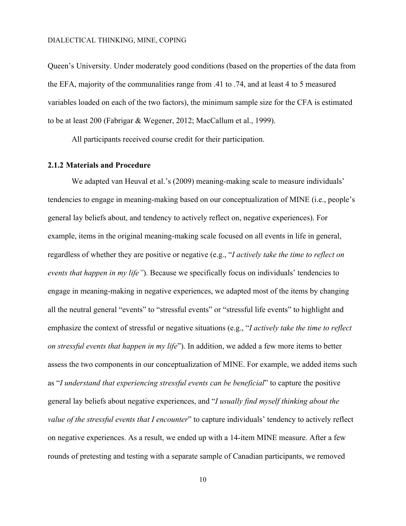Queen's University. Under moderately good conditions (based on the properties of the data from the EFA, majority of the communalities range from .41 to .74, and at least 4 to 5 measured variables loaded on each of the two factors), the minimum sample size for the CFA is estimated to be at least 200 (Fabrigar & Wegener, 2012; MacCallum et al., 1999).

All participants received course credit for their participation.

#### **2.1.2 Materials and Procedure**

We adapted van Heuval et al.'s (2009) meaning-making scale to measure individuals' tendencies to engage in meaning-making based on our conceptualization of MINE (i.e., people's general lay beliefs about, and tendency to actively reflect on, negative experiences). For example, items in the original meaning-making scale focused on all events in life in general, regardless of whether they are positive or negative (e.g., "*I actively take the time to reflect on events that happen in my life"*). Because we specifically focus on individuals' tendencies to engage in meaning-making in negative experiences, we adapted most of the items by changing all the neutral general "events" to "stressful events" or "stressful life events" to highlight and emphasize the context of stressful or negative situations (e.g., "*I actively take the time to reflect on stressful events that happen in my life*"). In addition, we added a few more items to better assess the two components in our conceptualization of MINE. For example, we added items such as "*I understand that experiencing stressful events can be beneficial*" to capture the positive general lay beliefs about negative experiences, and "*I usually find myself thinking about the value of the stressful events that I encounter*" to capture individuals' tendency to actively reflect on negative experiences. As a result, we ended up with a 14-item MINE measure. After a few rounds of pretesting and testing with a separate sample of Canadian participants, we removed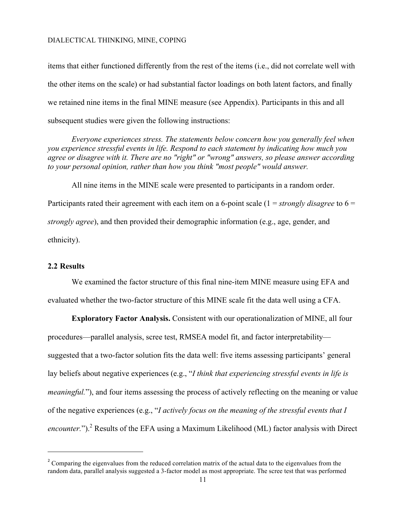items that either functioned differently from the rest of the items (i.e., did not correlate well with the other items on the scale) or had substantial factor loadings on both latent factors, and finally we retained nine items in the final MINE measure (see Appendix). Participants in this and all subsequent studies were given the following instructions:

*Everyone experiences stress. The statements below concern how you generally feel when you experience stressful events in life. Respond to each statement by indicating how much you agree or disagree with it. There are no "right" or "wrong" answers, so please answer according to your personal opinion, rather than how you think "most people" would answer.*

All nine items in the MINE scale were presented to participants in a random order. Participants rated their agreement with each item on a 6-point scale (1 = *strongly disagree* to 6 = *strongly agree*), and then provided their demographic information (e.g., age, gender, and ethnicity).

#### **2.2 Results**

l

We examined the factor structure of this final nine-item MINE measure using EFA and evaluated whether the two-factor structure of this MINE scale fit the data well using a CFA.

**Exploratory Factor Analysis.** Consistent with our operationalization of MINE, all four procedures—parallel analysis, scree test, RMSEA model fit, and factor interpretability suggested that a two-factor solution fits the data well: five items assessing participants' general lay beliefs about negative experiences (e.g., "*I think that experiencing stressful events in life is meaningful.*"), and four items assessing the process of actively reflecting on the meaning or value of the negative experiences (e.g., "*I actively focus on the meaning of the stressful events that I encounter.*").<sup>2</sup> Results of the EFA using a Maximum Likelihood (ML) factor analysis with Direct

<sup>&</sup>lt;sup>2</sup> Comparing the eigenvalues from the reduced correlation matrix of the actual data to the eigenvalues from the random data, parallel analysis suggested a 3-factor model as most appropriate. The scree test that was performed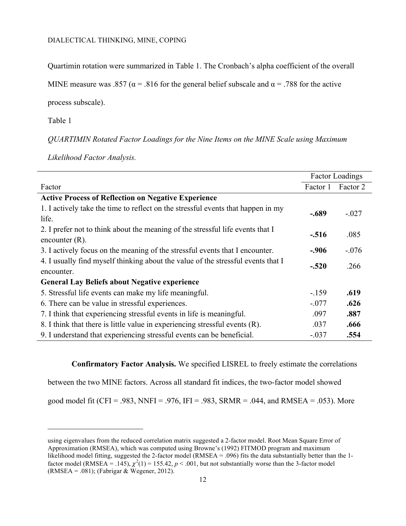Quartimin rotation were summarized in Table 1. The Cronbach's alpha coefficient of the overall

MINE measure was .857 ( $\alpha$  = .816 for the general belief subscale and  $\alpha$  = .788 for the active

process subscale).

Table 1

l

*QUARTIMIN Rotated Factor Loadings for the Nine Items on the MINE Scale using Maximum* 

*Likelihood Factor Analysis.*

|                                                                                  |          | <b>Factor Loadings</b> |
|----------------------------------------------------------------------------------|----------|------------------------|
| Factor                                                                           | Factor 1 | Factor 2               |
| <b>Active Process of Reflection on Negative Experience</b>                       |          |                        |
| 1. I actively take the time to reflect on the stressful events that happen in my | $-.689$  | $-.027$                |
| life.                                                                            |          |                        |
| 2. I prefer not to think about the meaning of the stressful life events that I   |          | .085                   |
| encounter $(R)$ .                                                                | $-.516$  |                        |
| 3. I actively focus on the meaning of the stressful events that I encounter.     | $-.906$  | $-.076$                |
| 4. I usually find myself thinking about the value of the stressful events that I |          |                        |
| encounter.                                                                       | $-.520$  | .266                   |
| <b>General Lay Beliefs about Negative experience</b>                             |          |                        |
| 5. Stressful life events can make my life meaningful.                            | $-159$   | .619                   |
| 6. There can be value in stressful experiences.                                  | $-.077$  | .626                   |
| 7. I think that experiencing stressful events in life is meaningful.             | .097     | .887                   |
| 8. I think that there is little value in experiencing stressful events (R).      | .037     | .666                   |
| 9. I understand that experiencing stressful events can be beneficial.            | $-.037$  | .554                   |

**Confirmatory Factor Analysis.** We specified LISREL to freely estimate the correlations

between the two MINE factors. Across all standard fit indices, the two-factor model showed

good model fit (CFI = .983, NNFI = .976, IFI = .983, SRMR = .044, and RMSEA = .053). More

using eigenvalues from the reduced correlation matrix suggested a 2-factor model. Root Mean Square Error of Approximation (RMSEA), which was computed using Browne's (1992) FITMOD program and maximum likelihood model fitting, suggested the 2-factor model (RMSEA = .096) fits the data substantially better than the 1factor model (RMSEA = .145),  $\chi^2(1)$  = 155.42,  $p < .001$ , but not substantially worse than the 3-factor model  $(RMSEA = .081)$ ; (Fabrigar & Wegener, 2012).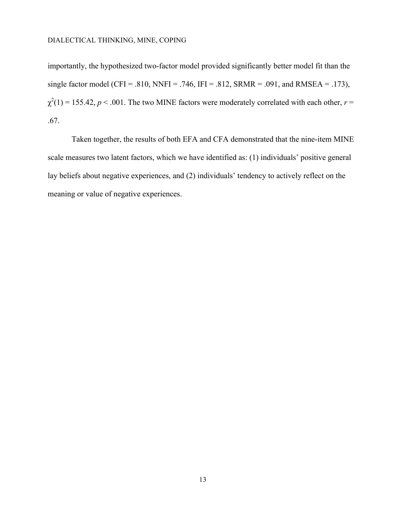importantly, the hypothesized two-factor model provided significantly better model fit than the single factor model (CFI = .810, NNFI = .746, IFI = .812, SRMR = .091, and RMSEA = .173),  $\chi^2(1) = 155.42$ ,  $p < .001$ . The two MINE factors were moderately correlated with each other,  $r =$ .67.

Taken together, the results of both EFA and CFA demonstrated that the nine-item MINE scale measures two latent factors, which we have identified as: (1) individuals' positive general lay beliefs about negative experiences, and (2) individuals' tendency to actively reflect on the meaning or value of negative experiences.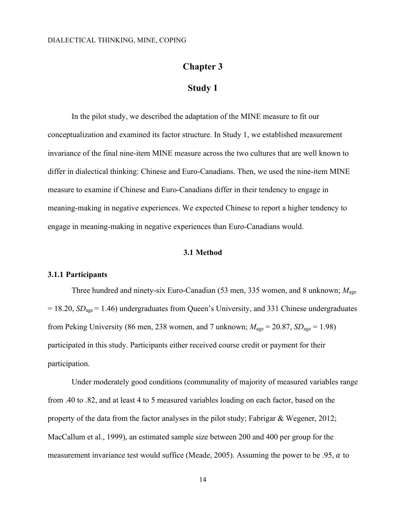### **Chapter 3**

### **Study 1**

In the pilot study, we described the adaptation of the MINE measure to fit our conceptualization and examined its factor structure. In Study 1, we established measurement invariance of the final nine-item MINE measure across the two cultures that are well known to differ in dialectical thinking: Chinese and Euro-Canadians. Then, we used the nine-item MINE measure to examine if Chinese and Euro-Canadians differ in their tendency to engage in meaning-making in negative experiences. We expected Chinese to report a higher tendency to engage in meaning-making in negative experiences than Euro-Canadians would.

#### **3.1 Method**

#### **3.1.1 Participants**

Three hundred and ninety-six Euro-Canadian (53 men, 335 women, and 8 unknown; *M*age = 18.20, *SD*age = 1.46) undergraduates from Queen's University, and 331 Chinese undergraduates from Peking University (86 men, 238 women, and 7 unknown;  $M_{\text{age}} = 20.87$ ,  $SD_{\text{age}} = 1.98$ ) participated in this study. Participants either received course credit or payment for their participation.

Under moderately good conditions (communality of majority of measured variables range from .40 to .82, and at least 4 to 5 measured variables loading on each factor, based on the property of the data from the factor analyses in the pilot study; Fabrigar & Wegener, 2012; MacCallum et al., 1999), an estimated sample size between 200 and 400 per group for the measurement invariance test would suffice (Meade, 2005). Assuming the power to be .95,  $\alpha$  to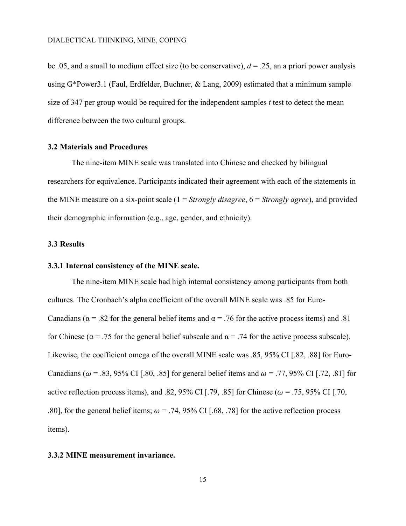be .05, and a small to medium effect size (to be conservative),  $d = 0.25$ , an a priori power analysis using G\*Power3.1 (Faul, Erdfelder, Buchner, & Lang, 2009) estimated that a minimum sample size of 347 per group would be required for the independent samples *t* test to detect the mean difference between the two cultural groups.

#### **3.2 Materials and Procedures**

The nine-item MINE scale was translated into Chinese and checked by bilingual researchers for equivalence. Participants indicated their agreement with each of the statements in the MINE measure on a six-point scale (1 = *Strongly disagree*, 6 = *Strongly agree*), and provided their demographic information (e.g., age, gender, and ethnicity).

#### **3.3 Results**

#### **3.3.1 Internal consistency of the MINE scale.**

The nine-item MINE scale had high internal consistency among participants from both cultures. The Cronbach's alpha coefficient of the overall MINE scale was .85 for Euro-Canadians ( $\alpha$  = .82 for the general belief items and  $\alpha$  = .76 for the active process items) and .81 for Chinese ( $\alpha$  = .75 for the general belief subscale and  $\alpha$  = .74 for the active process subscale). Likewise, the coefficient omega of the overall MINE scale was .85, 95% CI [.82, .88] for Euro-Canadians ( $\omega$  = .83, 95% CI [.80, .85] for general belief items and  $\omega$  = .77, 95% CI [.72, .81] for active reflection process items), and .82, 95% CI [.79, .85] for Chinese ( $\omega$  = .75, 95% CI [.70, .80], for the general belief items;  $\omega = .74,95\%$  CI [.68, .78] for the active reflection process items).

#### **3.3.2 MINE measurement invariance.**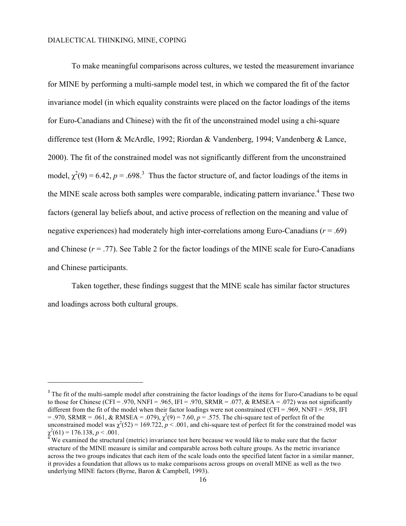l

To make meaningful comparisons across cultures, we tested the measurement invariance for MINE by performing a multi-sample model test, in which we compared the fit of the factor invariance model (in which equality constraints were placed on the factor loadings of the items for Euro-Canadians and Chinese) with the fit of the unconstrained model using a chi-square difference test (Horn & McArdle, 1992; Riordan & Vandenberg, 1994; Vandenberg & Lance, 2000). The fit of the constrained model was not significantly different from the unconstrained model,  $\chi^2(9) = 6.42$ ,  $p = .698$ <sup>3</sup>. Thus the factor structure of, and factor loadings of the items in the MINE scale across both samples were comparable, indicating pattern invariance.<sup>4</sup> These two factors (general lay beliefs about, and active process of reflection on the meaning and value of negative experiences) had moderately high inter-correlations among Euro-Canadians ( $r = .69$ ) and Chinese  $(r = .77)$ . See Table 2 for the factor loadings of the MINE scale for Euro-Canadians and Chinese participants.

Taken together, these findings suggest that the MINE scale has similar factor structures and loadings across both cultural groups.

<sup>&</sup>lt;sup>3</sup> The fit of the multi-sample model after constraining the factor loadings of the items for Euro-Canadians to be equal to those for Chinese (CFI = .970, NNFI = .965, IFI = .970, SRMR = .077, & RMSEA = .072) was not significantly different from the fit of the model when their factor loadings were not constrained (CFI = .969, NNFI = .958, IFI  $= .970$ , SRMR = .061, & RMSEA = .079),  $\chi^2(9) = 7.60$ ,  $p = .575$ . The chi-square test of perfect fit of the unconstrained model was  $\chi^2(52) = 169.722$ ,  $p < .001$ , and chi-square test of perfect fit for the constrained model was  $\chi^2$ 

We examined the structural (metric) invariance test here because we would like to make sure that the factor structure of the MINE measure is similar and comparable across both culture groups. As the metric invariance across the two groups indicates that each item of the scale loads onto the specified latent factor in a similar manner, it provides a foundation that allows us to make comparisons across groups on overall MINE as well as the two underlying MINE factors (Byrne, Baron & Campbell, 1993).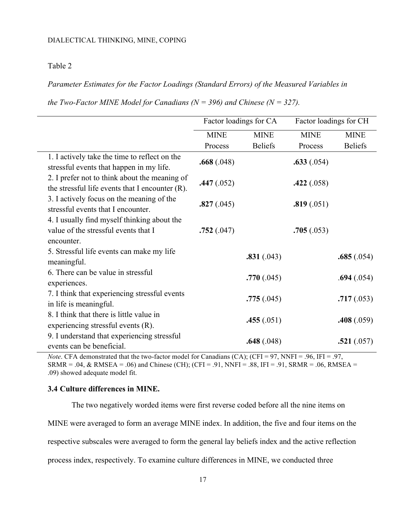#### Table 2

#### *Parameter Estimates for the Factor Loadings (Standard Errors) of the Measured Variables in*

*the Two-Factor MINE Model for Canadians (N = 396) and Chinese (N = 327).* 

|                                                                                                     | Factor loadings for CA |                | Factor loadings for CH |                |
|-----------------------------------------------------------------------------------------------------|------------------------|----------------|------------------------|----------------|
|                                                                                                     | <b>MINE</b>            | <b>MINE</b>    | <b>MINE</b>            | <b>MINE</b>    |
|                                                                                                     | Process                | <b>Beliefs</b> | Process                | <b>Beliefs</b> |
| 1. I actively take the time to reflect on the<br>stressful events that happen in my life.           | .668(.048)             |                | .633(.054)             |                |
| 2. I prefer not to think about the meaning of<br>the stressful life events that I encounter $(R)$ . | .447(.052)             |                | .422(.058)             |                |
| 3. I actively focus on the meaning of the<br>stressful events that I encounter.                     | .827(.045)             |                | .819(.051)             |                |
| 4. I usually find myself thinking about the<br>value of the stressful events that I<br>encounter.   | .752(.047)             |                | .705(.053)             |                |
| 5. Stressful life events can make my life<br>meaningful.                                            |                        | .831(.043)     |                        | .685(.054)     |
| 6. There can be value in stressful<br>experiences.                                                  |                        | .770(.045)     |                        | .694(.054)     |
| 7. I think that experiencing stressful events<br>in life is meaningful.                             |                        | .775(.045)     |                        | .717(.053)     |
| 8. I think that there is little value in<br>experiencing stressful events $(R)$ .                   |                        | .455(.051)     |                        | .408(.059)     |
| 9. I understand that experiencing stressful<br>events can be beneficial.                            |                        | .648(.048)     |                        | .521(.057)     |

*Note*. CFA demonstrated that the two-factor model for Canadians (CA); (CFI = 97, NNFI = .96, IFI = .97, SRMR = .04, & RMSEA = .06) and Chinese (CH); (CFI = .91, NNFI = .88, IFI = .91, SRMR = .06, RMSEA = .09) showed adequate model fit.

#### **3.4 Culture differences in MINE.**

The two negatively worded items were first reverse coded before all the nine items on

MINE were averaged to form an average MINE index. In addition, the five and four items on the

respective subscales were averaged to form the general lay beliefs index and the active reflection

process index, respectively. To examine culture differences in MINE, we conducted three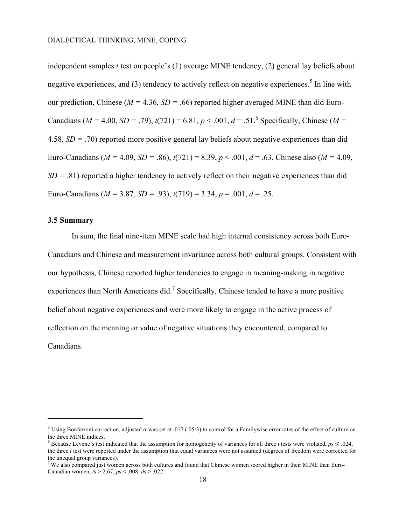independent samples *t* test on people's (1) average MINE tendency, (2) general lay beliefs about negative experiences, and  $(3)$  tendency to actively reflect on negative experiences.<sup>5</sup> In line with our prediction, Chinese ( $M = 4.36$ ,  $SD = .66$ ) reported higher averaged MINE than did Euro-Canadians ( $M = 4.00$ ,  $SD = .79$ ),  $t(721) = 6.81$ ,  $p < .001$ ,  $d = .51$ .<sup>6</sup> Specifically, Chinese ( $M =$ 4.58, *SD =* .70) reported more positive general lay beliefs about negative experiences than did Euro-Canadians ( $M = 4.09$ ,  $SD = .86$ ),  $t(721) = 8.39$ ,  $p < .001$ ,  $d = .63$ . Chinese also ( $M = 4.09$ , *SD* = .81) reported a higher tendency to actively reflect on their negative experiences than did Euro-Canadians ( $M = 3.87$ ,  $SD = .93$ ),  $t(719) = 3.34$ ,  $p = .001$ ,  $d = .25$ .

#### **3.5 Summary**

l

In sum, the final nine-item MINE scale had high internal consistency across both Euro-Canadians and Chinese and measurement invariance across both cultural groups. Consistent with our hypothesis, Chinese reported higher tendencies to engage in meaning-making in negative experiences than North Americans did.<sup>7</sup> Specifically, Chinese tended to have a more positive belief about negative experiences and were more likely to engage in the active process of reflection on the meaning or value of negative situations they encountered, compared to Canadians.

<sup>&</sup>lt;sup>5</sup> Using Bonferroni correction, adjusted  $\alpha$  was set at .017 (.05/3) to control for a Familywise error rates of the effect of culture on the three MINE indices.

<sup>&</sup>lt;sup>6</sup> Because Levene's test indicated that the assumption for homogeneity of variances for all three *t* tests were violated,  $p_s \le 0.024$ . the three *t* test were reported under the assumption that equal variances were not assumed (degrees of freedom were corrected for the unequal group variances).

 $7$  We also compared just women across both cultures and found that Chinese women scored higher in their MINE than Euro-Canadian women, *t*s > 2.67, *p*s < .008, *d*s > .022.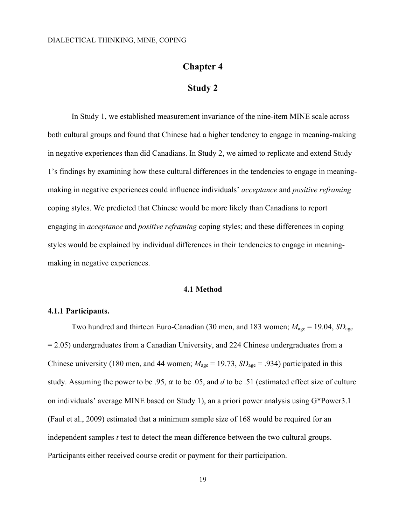## **Chapter 4**

### **Study 2**

In Study 1, we established measurement invariance of the nine-item MINE scale across both cultural groups and found that Chinese had a higher tendency to engage in meaning-making in negative experiences than did Canadians. In Study 2, we aimed to replicate and extend Study 1's findings by examining how these cultural differences in the tendencies to engage in meaningmaking in negative experiences could influence individuals' *acceptance* and *positive reframing* coping styles. We predicted that Chinese would be more likely than Canadians to report engaging in *acceptance* and *positive reframing* coping styles; and these differences in coping styles would be explained by individual differences in their tendencies to engage in meaningmaking in negative experiences.

#### **4.1 Method**

#### **4.1.1 Participants.**

Two hundred and thirteen Euro-Canadian (30 men, and 183 women;  $M_{\text{age}} = 19.04$ ,  $SD_{\text{age}}$  $= 2.05$ ) undergraduates from a Canadian University, and 224 Chinese undergraduates from a Chinese university (180 men, and 44 women;  $M_{\text{age}} = 19.73$ ,  $SD_{\text{age}} = .934$ ) participated in this study. Assuming the power to be .95,  $\alpha$  to be .05, and  $d$  to be .51 (estimated effect size of culture on individuals' average MINE based on Study 1), an a priori power analysis using G\*Power3.1 (Faul et al., 2009) estimated that a minimum sample size of 168 would be required for an independent samples *t* test to detect the mean difference between the two cultural groups. Participants either received course credit or payment for their participation.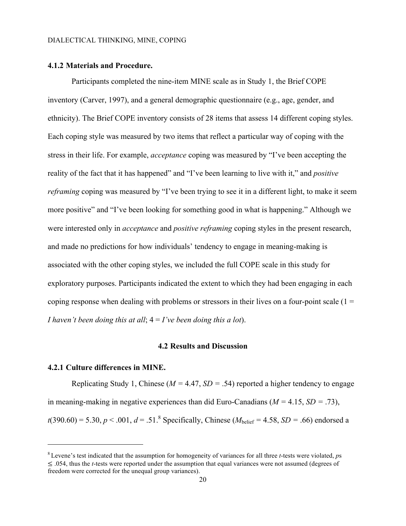#### **4.1.2 Materials and Procedure.**

Participants completed the nine-item MINE scale as in Study 1, the Brief COPE inventory (Carver, 1997), and a general demographic questionnaire (e.g., age, gender, and ethnicity). The Brief COPE inventory consists of 28 items that assess 14 different coping styles. Each coping style was measured by two items that reflect a particular way of coping with the stress in their life. For example, *acceptance* coping was measured by "I've been accepting the reality of the fact that it has happened" and "I've been learning to live with it," and *positive reframing* coping was measured by "I've been trying to see it in a different light, to make it seem more positive" and "I've been looking for something good in what is happening." Although we were interested only in *acceptance* and *positive reframing* coping styles in the present research, and made no predictions for how individuals' tendency to engage in meaning-making is associated with the other coping styles, we included the full COPE scale in this study for exploratory purposes. Participants indicated the extent to which they had been engaging in each coping response when dealing with problems or stressors in their lives on a four-point scale  $(1 =$ *I haven't been doing this at all*; 4 = *I've been doing this a lot*).

#### **4.2 Results and Discussion**

#### **4.2.1 Culture differences in MINE.**

 $\overline{a}$ 

Replicating Study 1, Chinese ( $M = 4.47$ ,  $SD = .54$ ) reported a higher tendency to engage in meaning-making in negative experiences than did Euro-Canadians (*M =* 4.15, *SD =* .73),  $t(390.60) = 5.30, p < .001, d = .51$ .<sup>8</sup> Specifically, Chinese ( $M_{helief} = 4.58, SD = .66$ ) endorsed a

<sup>8</sup> Levene's test indicated that the assumption for homogeneity of variances for all three *t*-tests were violated, *p*s ≤ .054, thus the *t*-tests were reported under the assumption that equal variances were not assumed (degrees of freedom were corrected for the unequal group variances).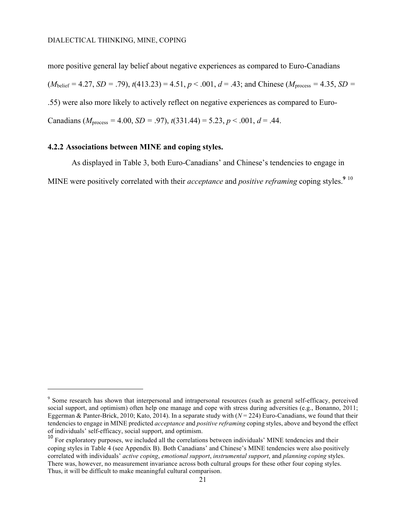more positive general lay belief about negative experiences as compared to Euro-Canadians  $(M_{\text{belief}} = 4.27, SD = .79), t(413.23) = 4.51, p < .001, d = .43$ ; and Chinese ( $M_{\text{process}} = 4.35, SD =$ .55) were also more likely to actively reflect on negative experiences as compared to Euro-Canadians ( $M_{\text{process}} = 4.00$ ,  $SD = .97$ ),  $t(331.44) = 5.23$ ,  $p < .001$ ,  $d = .44$ .

#### **4.2.2 Associations between MINE and coping styles.**

 $\overline{a}$ 

As displayed in Table 3, both Euro-Canadians' and Chinese's tendencies to engage in MINE were positively correlated with their *acceptance* and *positive reframing* coping styles. **9** 10

<sup>&</sup>lt;sup>9</sup> Some research has shown that interpersonal and intrapersonal resources (such as general self-efficacy, perceived social support, and optimism) often help one manage and cope with stress during adversities (e.g., Bonanno, 2011; Eggerman & Panter-Brick, 2010; Kato, 2014). In a separate study with (*N* = 224) Euro-Canadians, we found that their tendencies to engage in MINE predicted *acceptance* and *positive reframing* coping styles, above and beyond the effect of individuals' self-efficacy, social support, and optimism.

<sup>&</sup>lt;sup>10</sup> For exploratory purposes, we included all the correlations between individuals' MINE tendencies and their coping styles in Table 4 (see Appendix B). Both Canadians' and Chinese's MINE tendencies were also positively correlated with individuals' *active coping*, *emotional support*, *instrumental support*, and *planning coping* styles. There was, however, no measurement invariance across both cultural groups for these other four coping styles. Thus, it will be difficult to make meaningful cultural comparison.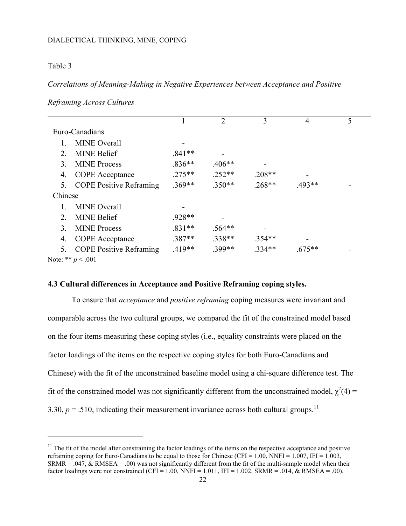#### Table 3

*Correlations of Meaning-Making in Negative Experiences between Acceptance and Positive* 

|               |                                |          | $\overline{2}$ | 3        | 4        | 5 |
|---------------|--------------------------------|----------|----------------|----------|----------|---|
|               | Euro-Canadians                 |          |                |          |          |   |
|               | <b>MINE</b> Overall            |          |                |          |          |   |
| $2^{\circ}$   | <b>MINE Belief</b>             | $.841**$ |                |          |          |   |
| $\mathcal{E}$ | <b>MINE Process</b>            | $.836**$ | $.406**$       |          |          |   |
| 4.            | <b>COPE</b> Acceptance         | $.275**$ | $.252**$       | $.208**$ |          |   |
| 5.            | <b>COPE Positive Reframing</b> | $.369**$ | $.350**$       | $.268**$ | $.493**$ |   |
| Chinese       |                                |          |                |          |          |   |
|               | <b>MINE</b> Overall            |          |                |          |          |   |
| $2^{\circ}$   | <b>MINE Belief</b>             | .928**   |                |          |          |   |
| $\mathcal{E}$ | <b>MINE Process</b>            | $.831**$ | $.564**$       |          |          |   |
| 4.            | <b>COPE</b> Acceptance         | $.387**$ | $.338**$       | $.354**$ |          |   |
| 5.            | <b>COPE Positive Reframing</b> | $.419**$ | .399**         | $.334**$ | $.675**$ |   |

*Reframing Across Cultures*

Note: \*\* *p* < .001

 $\overline{a}$ 

#### **4.3 Cultural differences in Acceptance and Positive Reframing coping styles.**

To ensure that *acceptance* and *positive reframing* coping measures were invariant and comparable across the two cultural groups, we compared the fit of the constrained model based on the four items measuring these coping styles (i.e., equality constraints were placed on the factor loadings of the items on the respective coping styles for both Euro-Canadians and Chinese) with the fit of the unconstrained baseline model using a chi-square difference test. The fit of the constrained model was not significantly different from the unconstrained model,  $\chi^2(4)$  = 3.30,  $p = .510$ , indicating their measurement invariance across both cultural groups.<sup>11</sup>

 $11$  The fit of the model after constraining the factor loadings of the items on the respective acceptance and positive reframing coping for Euro-Canadians to be equal to those for Chinese (CFI =  $1.00$ , NNFI =  $1.007$ , IFI =  $1.003$ , SRMR = .047, & RMSEA = .00) was not significantly different from the fit of the multi-sample model when their factor loadings were not constrained (CFI = 1.00, NNFI = 1.011, IFI = 1.002, SRMR = .014,  $\&$  RMSEA = .00),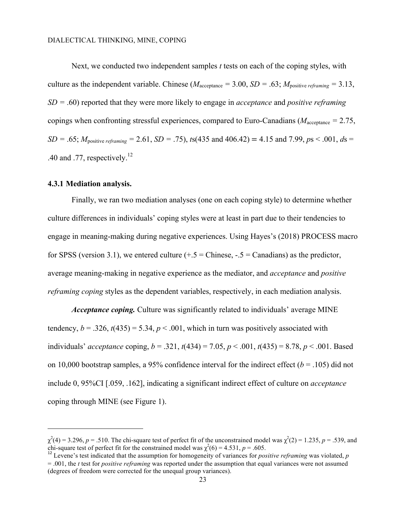Next, we conducted two independent samples *t* tests on each of the coping styles, with culture as the independent variable. Chinese ( $M_{\text{acceltance}} = 3.00$ ,  $SD = .63$ ;  $M_{\text{positive *reframing*}} = 3.13$ , *SD =* .60) reported that they were more likely to engage in *acceptance* and *positive reframing* copings when confronting stressful experiences, compared to Euro-Canadians ( $M_{\text{accelance}} = 2.75$ , *SD* = .65;  $M_{\text{positive reframine}}$  = 2.61, *SD* = .75), *t*s(435 and 406.42) = 4.15 and 7.99, *ps* < .001, *ds* = .40 and .77, respectively.<sup>12</sup>

#### **4.3.1 Mediation analysis.**

l

Finally, we ran two mediation analyses (one on each coping style) to determine whether culture differences in individuals' coping styles were at least in part due to their tendencies to engage in meaning-making during negative experiences. Using Hayes's (2018) PROCESS macro for SPSS (version 3.1), we entered culture  $(+.5 =$  Chinese,  $-.5 =$  Canadians) as the predictor, average meaning-making in negative experience as the mediator, and *acceptance* and *positive reframing coping* styles as the dependent variables, respectively, in each mediation analysis.

*Acceptance coping.* Culture was significantly related to individuals' average MINE tendency,  $b = .326$ ,  $t(435) = 5.34$ ,  $p < .001$ , which in turn was positively associated with individuals' *acceptance* coping, *b* = .321, *t*(434) = 7.05, *p* < .001, *t*(435) = 8.78, *p* < .001. Based on 10,000 bootstrap samples, a 95% confidence interval for the indirect effect  $(b = .105)$  did not include 0, 95%CI [.059, .162], indicating a significant indirect effect of culture on *acceptance*  coping through MINE (see Figure 1).

 $\chi^2(4)$  = 3.296, *p* = .510. The chi-square test of perfect fit of the unconstrained model was  $\chi^2(2)$  = 1.235, *p* = .539, and chi-square test of perfect fit for the constrained model was  $\chi^2$ 

 $^{12}$  Levene's test indicated that the assumption for homogeneity of variances for *positive reframing* was violated, *p* = .001, the *t* test for *positive reframing* was reported under the assumption that equal variances were not assumed (degrees of freedom were corrected for the unequal group variances).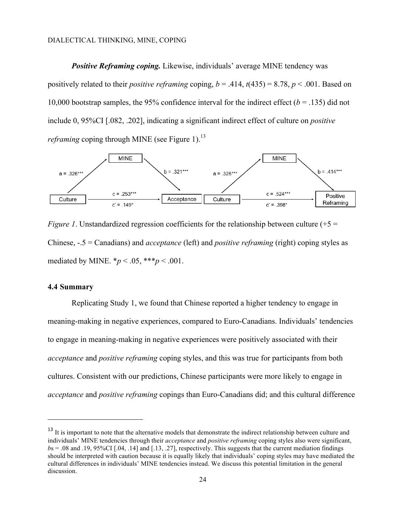*Positive Reframing coping.* Likewise, individuals' average MINE tendency was positively related to their *positive reframing* coping,  $b = .414$ ,  $t(435) = 8.78$ ,  $p < .001$ . Based on 10,000 bootstrap samples, the 95% confidence interval for the indirect effect  $(b = .135)$  did not include 0, 95%CI [.082, .202], indicating a significant indirect effect of culture on *positive reframing* coping through MINE (see Figure 1).<sup>13</sup>



*Figure 1*. Unstandardized regression coefficients for the relationship between culture  $(+5 =$ Chinese, -.5 = Canadians) and *acceptance* (left) and *positive reframing* (right) coping styles as mediated by MINE.  $*_{p}$  < .05,  $**_{p}$  < .001.

#### **4.4 Summary**

 $\overline{a}$ 

Replicating Study 1, we found that Chinese reported a higher tendency to engage in meaning-making in negative experiences, compared to Euro-Canadians. Individuals' tendencies to engage in meaning-making in negative experiences were positively associated with their *acceptance* and *positive reframing* coping styles, and this was true for participants from both cultures. Consistent with our predictions, Chinese participants were more likely to engage in *acceptance* and *positive reframing* copings than Euro-Canadians did; and this cultural difference

<sup>&</sup>lt;sup>13</sup> It is important to note that the alternative models that demonstrate the indirect relationship between culture and individuals' MINE tendencies through their *acceptance* and *positive reframing* coping styles also were significant,  $b$ s = .08 and .19, 95%CI [.04, .14] and [.13, .27], respectively. This suggests that the current mediation findings should be interpreted with caution because it is equally likely that individuals' coping styles may have mediated the cultural differences in individuals' MINE tendencies instead. We discuss this potential limitation in the general discussion.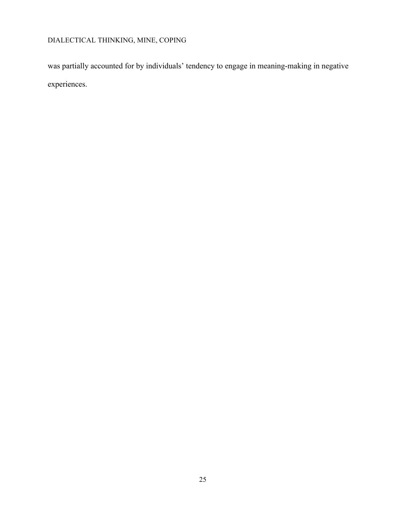was partially accounted for by individuals' tendency to engage in meaning-making in negative experiences.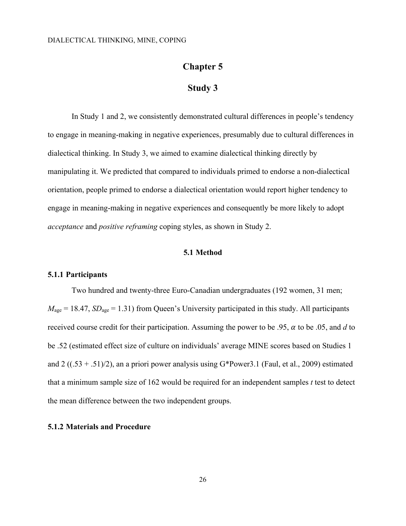### **Chapter 5**

### **Study 3**

In Study 1 and 2, we consistently demonstrated cultural differences in people's tendency to engage in meaning-making in negative experiences, presumably due to cultural differences in dialectical thinking. In Study 3, we aimed to examine dialectical thinking directly by manipulating it. We predicted that compared to individuals primed to endorse a non-dialectical orientation, people primed to endorse a dialectical orientation would report higher tendency to engage in meaning-making in negative experiences and consequently be more likely to adopt *acceptance* and *positive reframing* coping styles, as shown in Study 2.

#### **5.1 Method**

#### **5.1.1 Participants**

Two hundred and twenty-three Euro-Canadian undergraduates (192 women, 31 men;  $M_{\text{age}} = 18.47$ ,  $SD_{\text{age}} = 1.31$ ) from Queen's University participated in this study. All participants received course credit for their participation. Assuming the power to be .95,  $\alpha$  to be .05, and  $d$  to be .52 (estimated effect size of culture on individuals' average MINE scores based on Studies 1 and 2 ( $(.53 + .51)/2$ ), an a priori power analysis using G\*Power3.1 (Faul, et al., 2009) estimated that a minimum sample size of 162 would be required for an independent samples *t* test to detect the mean difference between the two independent groups.

#### **5.1.2 Materials and Procedure**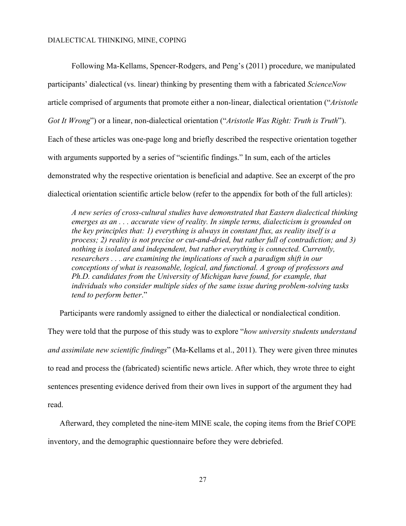Following Ma-Kellams, Spencer-Rodgers, and Peng's (2011) procedure, we manipulated participants' dialectical (vs. linear) thinking by presenting them with a fabricated *ScienceNow* article comprised of arguments that promote either a non-linear, dialectical orientation ("*Aristotle Got It Wrong*") or a linear, non-dialectical orientation ("*Aristotle Was Right: Truth is Truth*"). Each of these articles was one-page long and briefly described the respective orientation together with arguments supported by a series of "scientific findings." In sum, each of the articles demonstrated why the respective orientation is beneficial and adaptive. See an excerpt of the pro dialectical orientation scientific article below (refer to the appendix for both of the full articles):

*A new series of cross-cultural studies have demonstrated that Eastern dialectical thinking emerges as an . . . accurate view of reality. In simple terms, dialecticism is grounded on the key principles that: 1) everything is always in constant flux, as reality itself is a process; 2) reality is not precise or cut-and-dried, but rather full of contradiction; and 3) nothing is isolated and independent, but rather everything is connected. Currently, researchers . . . are examining the implications of such a paradigm shift in our conceptions of what is reasonable, logical, and functional. A group of professors and Ph.D. candidates from the University of Michigan have found, for example, that individuals who consider multiple sides of the same issue during problem-solving tasks tend to perform better*."

Participants were randomly assigned to either the dialectical or nondialectical condition.

They were told that the purpose of this study was to explore "*how university students understand and assimilate new scientific findings*" (Ma-Kellams et al., 2011). They were given three minutes to read and process the (fabricated) scientific news article. After which, they wrote three to eight sentences presenting evidence derived from their own lives in support of the argument they had read.

Afterward, they completed the nine-item MINE scale, the coping items from the Brief COPE inventory, and the demographic questionnaire before they were debriefed.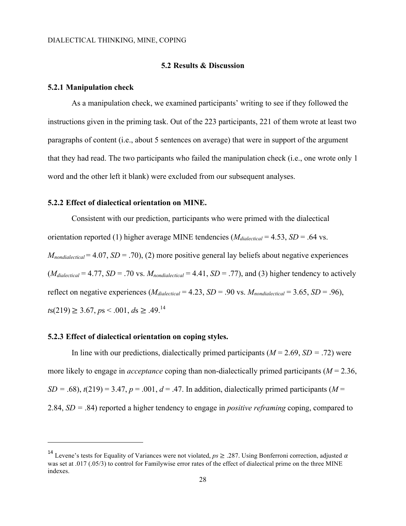#### **5.2 Results & Discussion**

#### **5.2.1 Manipulation check**

As a manipulation check, we examined participants' writing to see if they followed the instructions given in the priming task. Out of the 223 participants, 221 of them wrote at least two paragraphs of content (i.e., about 5 sentences on average) that were in support of the argument that they had read. The two participants who failed the manipulation check (i.e., one wrote only 1 word and the other left it blank) were excluded from our subsequent analyses.

#### **5.2.2 Effect of dialectical orientation on MINE.**

Consistent with our prediction, participants who were primed with the dialectical orientation reported (1) higher average MINE tendencies ( $M_{dialected}$  = 4.53, *SD* = .64 vs.  $M_{nondilateral} = 4.07$ ,  $SD = .70$ ), (2) more positive general lay beliefs about negative experiences  $(M_{dialectical} = 4.77, SD = .70$  vs.  $M_{nondialectical} = 4.41, SD = .77$ , and (3) higher tendency to actively reflect on negative experiences ( $M_{dialected} = 4.23$ ,  $SD = .90$  vs.  $M_{nondialected} = 3.65$ ,  $SD = .96$ ),  $t s(219) \geq 3.67$ ,  $p s \leq .001$ ,  $d s \geq .49$ .<sup>14</sup>

#### **5.2.3 Effect of dialectical orientation on coping styles.**

l

In line with our predictions, dialectically primed participants  $(M = 2.69, SD = .72)$  were more likely to engage in *acceptance* coping than non-dialectically primed participants (*M* = 2.36,  $SD = .68$ ),  $t(219) = 3.47$ ,  $p = .001$ ,  $d = .47$ . In addition, dialectically primed participants (*M* = 2.84, *SD =* .84) reported a higher tendency to engage in *positive reframing* coping, compared to

<sup>&</sup>lt;sup>14</sup> Levene's tests for Equality of Variances were not violated,  $ps \ge 0.287$ . Using Bonferroni correction, adjusted  $\alpha$ was set at .017 (.05/3) to control for Familywise error rates of the effect of dialectical prime on the three MINE indexes.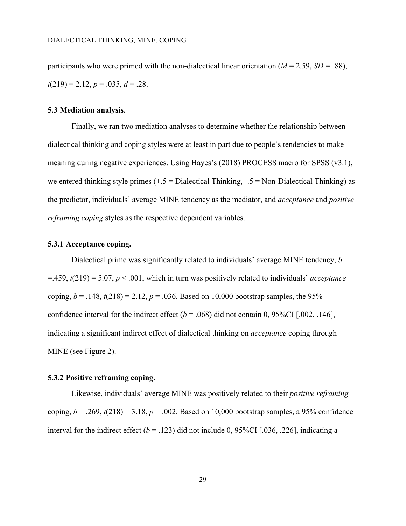participants who were primed with the non-dialectical linear orientation  $(M = 2.59, SD = .88)$ ,  $t(219) = 2.12, p = .035, d = .28.$ 

#### **5.3 Mediation analysis.**

Finally, we ran two mediation analyses to determine whether the relationship between dialectical thinking and coping styles were at least in part due to people's tendencies to make meaning during negative experiences. Using Hayes's (2018) PROCESS macro for SPSS (v3.1), we entered thinking style primes  $(+.5 =$  Dialectical Thinking,  $-.5 =$  Non-Dialectical Thinking) as the predictor, individuals' average MINE tendency as the mediator, and *acceptance* and *positive reframing coping* styles as the respective dependent variables.

#### **5.3.1 Acceptance coping.**

Dialectical prime was significantly related to individuals' average MINE tendency, *b* =.459, *t*(219) = 5.07, *p* < .001, which in turn was positively related to individuals' *acceptance* coping,  $b = .148$ ,  $t(218) = 2.12$ ,  $p = .036$ . Based on 10,000 bootstrap samples, the 95% confidence interval for the indirect effect  $(b = .068)$  did not contain 0, 95%CI [.002, .146], indicating a significant indirect effect of dialectical thinking on *acceptance* coping through MINE (see Figure 2).

#### **5.3.2 Positive reframing coping.**

Likewise, individuals' average MINE was positively related to their *positive reframing* coping,  $b = .269$ ,  $t(218) = 3.18$ ,  $p = .002$ . Based on 10,000 bootstrap samples, a 95% confidence interval for the indirect effect  $(b = .123)$  did not include 0, 95%CI [.036, .226], indicating a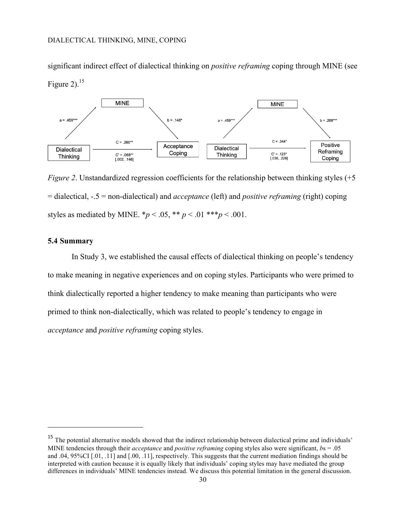significant indirect effect of dialectical thinking on *positive reframing* coping through MINE (see Figure 2). $15$ 



*Figure 2*. Unstandardized regression coefficients for the relationship between thinking styles (+5) = dialectical, -.5 = non-dialectical) and *acceptance* (left) and *positive reframing* (right) coping styles as mediated by MINE.  $^*p < .05$ ,  $^{**}p < .01$   $^{***}p < .001$ .

#### **5.4 Summary**

 $\overline{a}$ 

In Study 3, we established the causal effects of dialectical thinking on people's tendency to make meaning in negative experiences and on coping styles. Participants who were primed to think dialectically reported a higher tendency to make meaning than participants who were primed to think non-dialectically, which was related to people's tendency to engage in *acceptance* and *positive reframing* coping styles.

<sup>&</sup>lt;sup>15</sup> The potential alternative models showed that the indirect relationship between dialectical prime and individuals' MINE tendencies through their *acceptance* and *positive reframing* coping styles also were significant, *b*s = .05 and .04, 95%CI [.01, .11] and [.00, .11], respectively. This suggests that the current mediation findings should be interpreted with caution because it is equally likely that individuals' coping styles may have mediated the group differences in individuals' MINE tendencies instead. We discuss this potential limitation in the general discussion.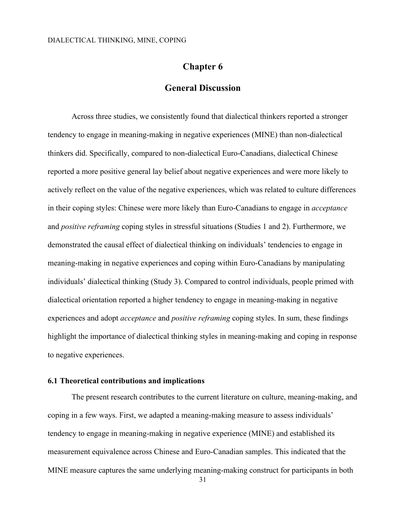### **Chapter 6**

### **General Discussion**

Across three studies, we consistently found that dialectical thinkers reported a stronger tendency to engage in meaning-making in negative experiences (MINE) than non-dialectical thinkers did. Specifically, compared to non-dialectical Euro-Canadians, dialectical Chinese reported a more positive general lay belief about negative experiences and were more likely to actively reflect on the value of the negative experiences, which was related to culture differences in their coping styles: Chinese were more likely than Euro-Canadians to engage in *acceptance* and *positive reframing* coping styles in stressful situations (Studies 1 and 2). Furthermore, we demonstrated the causal effect of dialectical thinking on individuals' tendencies to engage in meaning-making in negative experiences and coping within Euro-Canadians by manipulating individuals' dialectical thinking (Study 3). Compared to control individuals, people primed with dialectical orientation reported a higher tendency to engage in meaning-making in negative experiences and adopt *acceptance* and *positive reframing* coping styles. In sum, these findings highlight the importance of dialectical thinking styles in meaning-making and coping in response to negative experiences.

#### **6.1 Theoretical contributions and implications**

The present research contributes to the current literature on culture, meaning-making, and coping in a few ways. First, we adapted a meaning-making measure to assess individuals' tendency to engage in meaning-making in negative experience (MINE) and established its measurement equivalence across Chinese and Euro-Canadian samples. This indicated that the MINE measure captures the same underlying meaning-making construct for participants in both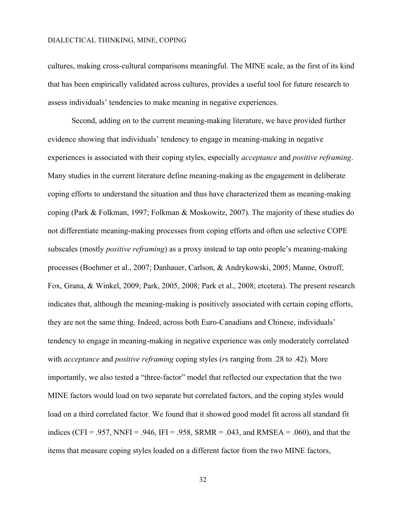cultures, making cross-cultural comparisons meaningful. The MINE scale, as the first of its kind that has been empirically validated across cultures, provides a useful tool for future research to assess individuals' tendencies to make meaning in negative experiences.

Second, adding on to the current meaning-making literature, we have provided further evidence showing that individuals' tendency to engage in meaning-making in negative experiences is associated with their coping styles, especially *acceptance* and *positive reframing*. Many studies in the current literature define meaning-making as the engagement in deliberate coping efforts to understand the situation and thus have characterized them as meaning-making coping (Park & Folkman, 1997; Folkman & Moskowitz, 2007). The majority of these studies do not differentiate meaning-making processes from coping efforts and often use selective COPE subscales (mostly *positive reframing*) as a proxy instead to tap onto people's meaning-making processes (Boehmer et al., 2007; Danhauer, Carlson, & Andrykowski, 2005; Manne, Ostroff, Fox, Grana, & Winkel, 2009; Park, 2005, 2008; Park et al., 2008; etcetera). The present research indicates that, although the meaning-making is positively associated with certain coping efforts, they are not the same thing. Indeed, across both Euro-Canadians and Chinese, individuals' tendency to engage in meaning-making in negative experience was only moderately correlated with *acceptance* and *positive reframing* coping styles (*r*s ranging from .28 to .42). More importantly, we also tested a "three-factor" model that reflected our expectation that the two MINE factors would load on two separate but correlated factors, and the coping styles would load on a third correlated factor. We found that it showed good model fit across all standard fit indices (CFI = .957, NNFI = .946, IFI = .958, SRMR = .043, and RMSEA = .060), and that the items that measure coping styles loaded on a different factor from the two MINE factors,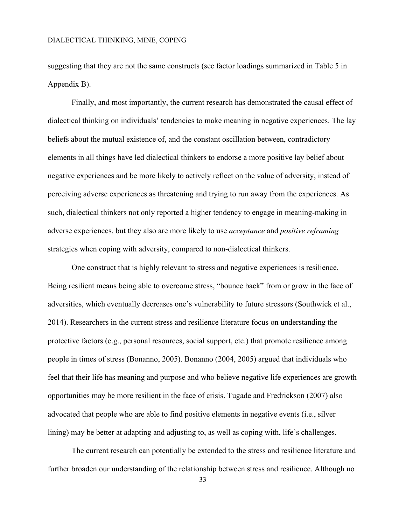suggesting that they are not the same constructs (see factor loadings summarized in Table 5 in Appendix B).

Finally, and most importantly, the current research has demonstrated the causal effect of dialectical thinking on individuals' tendencies to make meaning in negative experiences. The lay beliefs about the mutual existence of, and the constant oscillation between, contradictory elements in all things have led dialectical thinkers to endorse a more positive lay belief about negative experiences and be more likely to actively reflect on the value of adversity, instead of perceiving adverse experiences as threatening and trying to run away from the experiences. As such, dialectical thinkers not only reported a higher tendency to engage in meaning-making in adverse experiences, but they also are more likely to use *acceptance* and *positive reframing* strategies when coping with adversity, compared to non-dialectical thinkers.

One construct that is highly relevant to stress and negative experiences is resilience. Being resilient means being able to overcome stress, "bounce back" from or grow in the face of adversities, which eventually decreases one's vulnerability to future stressors (Southwick et al., 2014). Researchers in the current stress and resilience literature focus on understanding the protective factors (e.g., personal resources, social support, etc.) that promote resilience among people in times of stress (Bonanno, 2005). Bonanno (2004, 2005) argued that individuals who feel that their life has meaning and purpose and who believe negative life experiences are growth opportunities may be more resilient in the face of crisis. Tugade and Fredrickson (2007) also advocated that people who are able to find positive elements in negative events (i.e., silver lining) may be better at adapting and adjusting to, as well as coping with, life's challenges.

The current research can potentially be extended to the stress and resilience literature and further broaden our understanding of the relationship between stress and resilience. Although no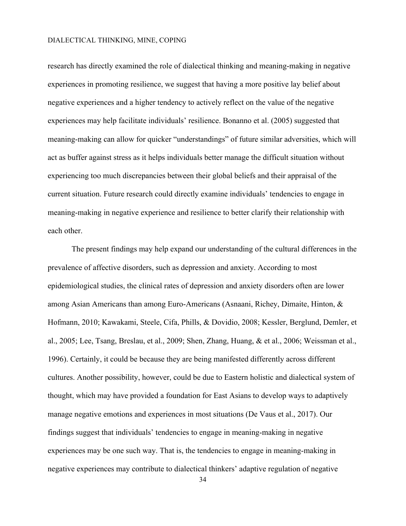research has directly examined the role of dialectical thinking and meaning-making in negative experiences in promoting resilience, we suggest that having a more positive lay belief about negative experiences and a higher tendency to actively reflect on the value of the negative experiences may help facilitate individuals' resilience. Bonanno et al. (2005) suggested that meaning-making can allow for quicker "understandings" of future similar adversities, which will act as buffer against stress as it helps individuals better manage the difficult situation without experiencing too much discrepancies between their global beliefs and their appraisal of the current situation. Future research could directly examine individuals' tendencies to engage in meaning-making in negative experience and resilience to better clarify their relationship with each other.

The present findings may help expand our understanding of the cultural differences in the prevalence of affective disorders, such as depression and anxiety. According to most epidemiological studies, the clinical rates of depression and anxiety disorders often are lower among Asian Americans than among Euro-Americans (Asnaani, Richey, Dimaite, Hinton, & Hofmann, 2010; Kawakami, Steele, Cifa, Phills, & Dovidio, 2008; Kessler, Berglund, Demler, et al., 2005; Lee, Tsang, Breslau, et al., 2009; Shen, Zhang, Huang, & et al., 2006; Weissman et al., 1996). Certainly, it could be because they are being manifested differently across different cultures. Another possibility, however, could be due to Eastern holistic and dialectical system of thought, which may have provided a foundation for East Asians to develop ways to adaptively manage negative emotions and experiences in most situations (De Vaus et al., 2017). Our findings suggest that individuals' tendencies to engage in meaning-making in negative experiences may be one such way. That is, the tendencies to engage in meaning-making in negative experiences may contribute to dialectical thinkers' adaptive regulation of negative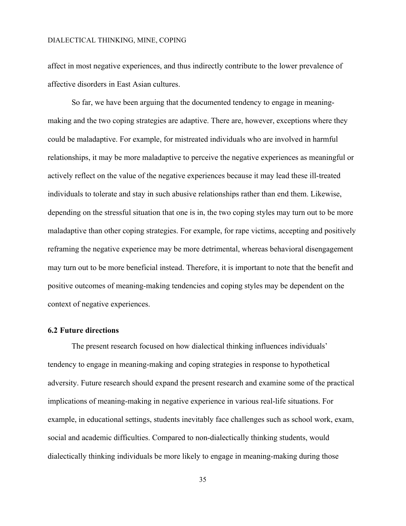affect in most negative experiences, and thus indirectly contribute to the lower prevalence of affective disorders in East Asian cultures.

So far, we have been arguing that the documented tendency to engage in meaningmaking and the two coping strategies are adaptive. There are, however, exceptions where they could be maladaptive. For example, for mistreated individuals who are involved in harmful relationships, it may be more maladaptive to perceive the negative experiences as meaningful or actively reflect on the value of the negative experiences because it may lead these ill-treated individuals to tolerate and stay in such abusive relationships rather than end them. Likewise, depending on the stressful situation that one is in, the two coping styles may turn out to be more maladaptive than other coping strategies. For example, for rape victims, accepting and positively reframing the negative experience may be more detrimental, whereas behavioral disengagement may turn out to be more beneficial instead. Therefore, it is important to note that the benefit and positive outcomes of meaning-making tendencies and coping styles may be dependent on the context of negative experiences.

#### **6.2 Future directions**

The present research focused on how dialectical thinking influences individuals' tendency to engage in meaning-making and coping strategies in response to hypothetical adversity. Future research should expand the present research and examine some of the practical implications of meaning-making in negative experience in various real-life situations. For example, in educational settings, students inevitably face challenges such as school work, exam, social and academic difficulties. Compared to non-dialectically thinking students, would dialectically thinking individuals be more likely to engage in meaning-making during those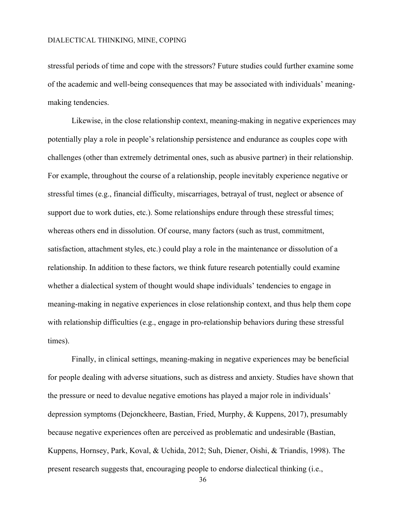stressful periods of time and cope with the stressors? Future studies could further examine some of the academic and well-being consequences that may be associated with individuals' meaningmaking tendencies.

Likewise, in the close relationship context, meaning-making in negative experiences may potentially play a role in people's relationship persistence and endurance as couples cope with challenges (other than extremely detrimental ones, such as abusive partner) in their relationship. For example, throughout the course of a relationship, people inevitably experience negative or stressful times (e.g., financial difficulty, miscarriages, betrayal of trust, neglect or absence of support due to work duties, etc.). Some relationships endure through these stressful times; whereas others end in dissolution. Of course, many factors (such as trust, commitment, satisfaction, attachment styles, etc.) could play a role in the maintenance or dissolution of a relationship. In addition to these factors, we think future research potentially could examine whether a dialectical system of thought would shape individuals' tendencies to engage in meaning-making in negative experiences in close relationship context, and thus help them cope with relationship difficulties (e.g., engage in pro-relationship behaviors during these stressful times).

Finally, in clinical settings, meaning-making in negative experiences may be beneficial for people dealing with adverse situations, such as distress and anxiety. Studies have shown that the pressure or need to devalue negative emotions has played a major role in individuals' depression symptoms (Dejonckheere, Bastian, Fried, Murphy, & Kuppens, 2017), presumably because negative experiences often are perceived as problematic and undesirable (Bastian, Kuppens, Hornsey, Park, Koval, & Uchida, 2012; Suh, Diener, Oishi, & Triandis, 1998). The present research suggests that, encouraging people to endorse dialectical thinking (i.e.,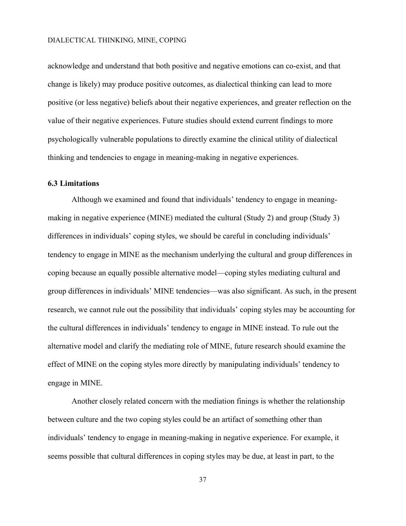acknowledge and understand that both positive and negative emotions can co-exist, and that change is likely) may produce positive outcomes, as dialectical thinking can lead to more positive (or less negative) beliefs about their negative experiences, and greater reflection on the value of their negative experiences. Future studies should extend current findings to more psychologically vulnerable populations to directly examine the clinical utility of dialectical thinking and tendencies to engage in meaning-making in negative experiences.

#### **6.3 Limitations**

Although we examined and found that individuals' tendency to engage in meaningmaking in negative experience (MINE) mediated the cultural (Study 2) and group (Study 3) differences in individuals' coping styles, we should be careful in concluding individuals' tendency to engage in MINE as the mechanism underlying the cultural and group differences in coping because an equally possible alternative model—coping styles mediating cultural and group differences in individuals' MINE tendencies—was also significant. As such, in the present research, we cannot rule out the possibility that individuals' coping styles may be accounting for the cultural differences in individuals' tendency to engage in MINE instead. To rule out the alternative model and clarify the mediating role of MINE, future research should examine the effect of MINE on the coping styles more directly by manipulating individuals' tendency to engage in MINE.

Another closely related concern with the mediation finings is whether the relationship between culture and the two coping styles could be an artifact of something other than individuals' tendency to engage in meaning-making in negative experience. For example, it seems possible that cultural differences in coping styles may be due, at least in part, to the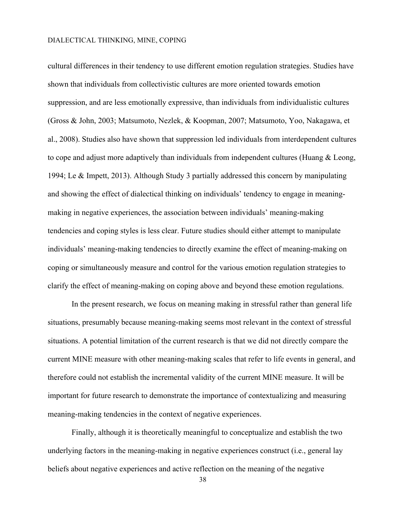cultural differences in their tendency to use different emotion regulation strategies. Studies have shown that individuals from collectivistic cultures are more oriented towards emotion suppression, and are less emotionally expressive, than individuals from individualistic cultures (Gross & John, 2003; Matsumoto, Nezlek, & Koopman, 2007; Matsumoto, Yoo, Nakagawa, et al., 2008). Studies also have shown that suppression led individuals from interdependent cultures to cope and adjust more adaptively than individuals from independent cultures (Huang & Leong, 1994; Le & Impett, 2013). Although Study 3 partially addressed this concern by manipulating and showing the effect of dialectical thinking on individuals' tendency to engage in meaningmaking in negative experiences, the association between individuals' meaning-making tendencies and coping styles is less clear. Future studies should either attempt to manipulate individuals' meaning-making tendencies to directly examine the effect of meaning-making on coping or simultaneously measure and control for the various emotion regulation strategies to clarify the effect of meaning-making on coping above and beyond these emotion regulations.

In the present research, we focus on meaning making in stressful rather than general life situations, presumably because meaning-making seems most relevant in the context of stressful situations. A potential limitation of the current research is that we did not directly compare the current MINE measure with other meaning-making scales that refer to life events in general, and therefore could not establish the incremental validity of the current MINE measure. It will be important for future research to demonstrate the importance of contextualizing and measuring meaning-making tendencies in the context of negative experiences.

Finally, although it is theoretically meaningful to conceptualize and establish the two underlying factors in the meaning-making in negative experiences construct (i.e., general lay beliefs about negative experiences and active reflection on the meaning of the negative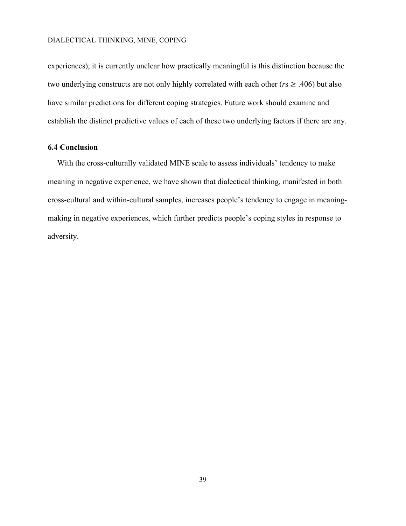experiences), it is currently unclear how practically meaningful is this distinction because the two underlying constructs are not only highly correlated with each other ( $r s \geq .406$ ) but also have similar predictions for different coping strategies. Future work should examine and establish the distinct predictive values of each of these two underlying factors if there are any.

#### **6.4 Conclusion**

With the cross-culturally validated MINE scale to assess individuals' tendency to make meaning in negative experience, we have shown that dialectical thinking, manifested in both cross-cultural and within-cultural samples, increases people's tendency to engage in meaningmaking in negative experiences, which further predicts people's coping styles in response to adversity.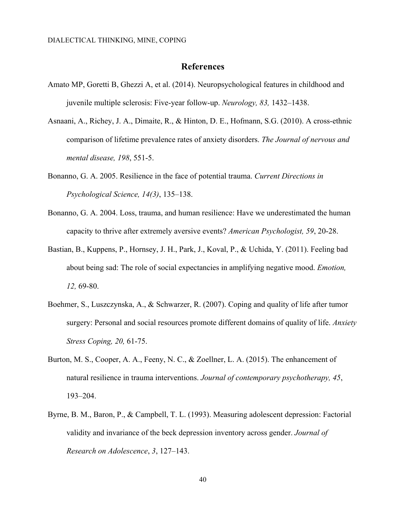#### **References**

- Amato MP, Goretti B, Ghezzi A, et al. (2014). Neuropsychological features in childhood and juvenile multiple sclerosis: Five-year follow-up. *Neurology, 83,* 1432–1438.
- Asnaani, A., Richey, J. A., Dimaite, R., & Hinton, D. E., Hofmann, S.G. (2010). A cross-ethnic comparison of lifetime prevalence rates of anxiety disorders. *The Journal of nervous and mental disease, 198*, 551-5.
- Bonanno, G. A. 2005. Resilience in the face of potential trauma. *Current Directions in Psychological Science, 14(3)*, 135–138.
- Bonanno, G. A. 2004. Loss, trauma, and human resilience: Have we underestimated the human capacity to thrive after extremely aversive events? *American Psychologist, 59*, 20-28.
- Bastian, B., Kuppens, P., Hornsey, J. H., Park, J., Koval, P., & Uchida, Y. (2011). Feeling bad about being sad: The role of social expectancies in amplifying negative mood. *Emotion, 12,* 69-80.
- Boehmer, S., Luszczynska, A., & Schwarzer, R. (2007). Coping and quality of life after tumor surgery: Personal and social resources promote different domains of quality of life. *Anxiety Stress Coping, 20,* 61-75.
- Burton, M. S., Cooper, A. A., Feeny, N. C., & Zoellner, L. A. (2015). The enhancement of natural resilience in trauma interventions. *Journal of contemporary psychotherapy, 45*, 193–204.
- Byrne, B. M., Baron, P., & Campbell, T. L. (1993). Measuring adolescent depression: Factorial validity and invariance of the beck depression inventory across gender. *Journal of Research on Adolescence*, *3*, 127–143.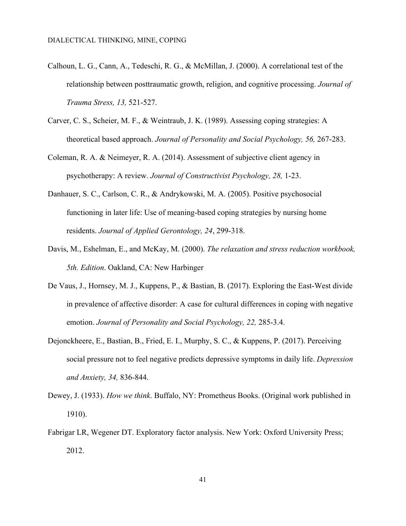- Calhoun, L. G., Cann, A., Tedeschi, R. G., & McMillan, J. (2000). A correlational test of the relationship between posttraumatic growth, religion, and cognitive processing. *Journal of Trauma Stress, 13,* 521-527.
- Carver, C. S., Scheier, M. F., & Weintraub, J. K. (1989). Assessing coping strategies: A theoretical based approach. *Journal of Personality and Social Psychology, 56,* 267-283.
- Coleman, R. A. & Neimeyer, R. A. (2014). Assessment of subjective client agency in psychotherapy: A review. *Journal of Constructivist Psychology, 28,* 1-23.
- Danhauer, S. C., Carlson, C. R., & Andrykowski, M. A. (2005). Positive psychosocial functioning in later life: Use of meaning-based coping strategies by nursing home residents. *Journal of Applied Gerontology, 24*, 299-318.
- Davis, M., Eshelman, E., and McKay, M. (2000). *The relaxation and stress reduction workbook, 5th. Edition*. Oakland, CA: New Harbinger
- De Vaus, J., Hornsey, M. J., Kuppens, P., & Bastian, B. (2017). Exploring the East-West divide in prevalence of affective disorder: A case for cultural differences in coping with negative emotion. *Journal of Personality and Social Psychology, 22, 285-3.4.*
- Dejonckheere, E., Bastian, B., Fried, E. I., Murphy, S. C., & Kuppens, P. (2017). Perceiving social pressure not to feel negative predicts depressive symptoms in daily life. *Depression and Anxiety, 34,* 836-844.
- Dewey, J. (1933). *How we think*. Buffalo, NY: Prometheus Books. (Original work published in 1910).
- Fabrigar LR, Wegener DT. Exploratory factor analysis. New York: Oxford University Press; 2012.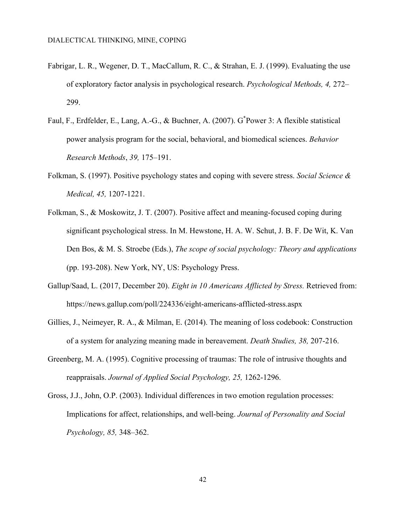- Fabrigar, L. R., Wegener, D. T., MacCallum, R. C., & Strahan, E. J. (1999). Evaluating the use of exploratory factor analysis in psychological research. *Psychological Methods, 4,* 272– 299.
- Faul, F., Erdfelder, E., Lang, A.-G., & Buchner, A. (2007). G<sup>\*</sup>Power 3: A flexible statistical power analysis program for the social, behavioral, and biomedical sciences. *Behavior Research Methods*, *39,* 175–191.
- Folkman, S. (1997). Positive psychology states and coping with severe stress. *Social Science & Medical, 45,* 1207-1221.
- Folkman, S., & Moskowitz, J. T. (2007). Positive affect and meaning-focused coping during significant psychological stress. In M. Hewstone, H. A. W. Schut, J. B. F. De Wit, K. Van Den Bos, & M. S. Stroebe (Eds.), *The scope of social psychology: Theory and applications*  (pp. 193-208). New York, NY, US: Psychology Press.
- Gallup/Saad, L. (2017, December 20). *Eight in 10 Americans Afflicted by Stress.* Retrieved from: https://news.gallup.com/poll/224336/eight-americans-afflicted-stress.aspx
- Gillies, J., Neimeyer, R. A., & Milman, E. (2014). The meaning of loss codebook: Construction of a system for analyzing meaning made in bereavement. *Death Studies, 38,* 207-216.
- Greenberg, M. A. (1995). Cognitive processing of traumas: The role of intrusive thoughts and reappraisals. *Journal of Applied Social Psychology, 25,* 1262-1296.
- Gross, J.J., John, O.P. (2003). Individual differences in two emotion regulation processes: Implications for affect, relationships, and well-being. *Journal of Personality and Social Psychology, 85,* 348–362.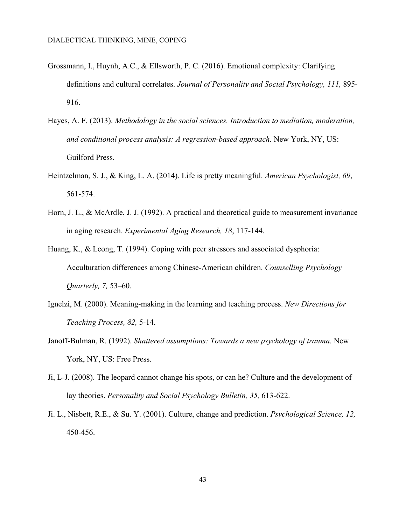- Grossmann, I., Huynh, A.C., & Ellsworth, P. C. (2016). Emotional complexity: Clarifying definitions and cultural correlates. *Journal of Personality and Social Psychology, 111,* 895- 916.
- Hayes, A. F. (2013). *Methodology in the social sciences. Introduction to mediation, moderation, and conditional process analysis: A regression-based approach.* New York, NY, US: Guilford Press.
- Heintzelman, S. J., & King, L. A. (2014). Life is pretty meaningful. *American Psychologist, 69*, 561-574.
- Horn, J. L., & McArdle, J. J. (1992). A practical and theoretical guide to measurement invariance in aging research. *Experimental Aging Research, 18*, 117-144.
- Huang, K., & Leong, T. (1994). Coping with peer stressors and associated dysphoria: Acculturation differences among Chinese-American children. *Counselling Psychology Quarterly, 7,* 53–60.
- Ignelzi, M. (2000). Meaning-making in the learning and teaching process. *New Directions for Teaching Process, 82,* 5-14.
- Janoff-Bulman, R. (1992). *Shattered assumptions: Towards a new psychology of trauma.* New York, NY, US: Free Press.
- Ji, L-J. (2008). The leopard cannot change his spots, or can he? Culture and the development of lay theories. *Personality and Social Psychology Bulletin, 35,* 613-622.
- Ji. L., Nisbett, R.E., & Su. Y. (2001). Culture, change and prediction. *Psychological Science, 12,* 450-456.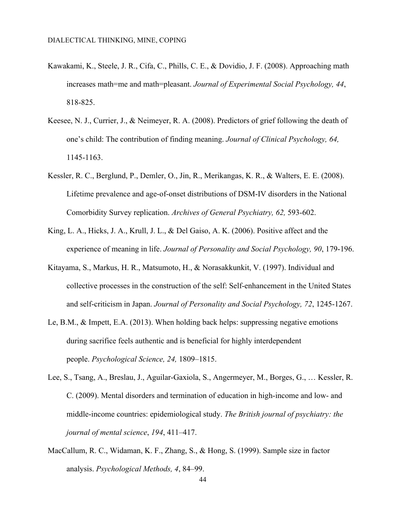- Kawakami, K., Steele, J. R., Cifa, C., Phills, C. E., & Dovidio, J. F. (2008). Approaching math increases math=me and math=pleasant. *Journal of Experimental Social Psychology, 44*, 818-825.
- Keesee, N. J., Currier, J., & Neimeyer, R. A. (2008). Predictors of grief following the death of one's child: The contribution of finding meaning. *Journal of Clinical Psychology, 64,*  1145-1163.
- Kessler, R. C., Berglund, P., Demler, O., Jin, R., Merikangas, K. R., & Walters, E. E. (2008). Lifetime prevalence and age-of-onset distributions of DSM-IV disorders in the National Comorbidity Survey replication. *Archives of General Psychiatry, 62,* 593-602.
- King, L. A., Hicks, J. A., Krull, J. L., & Del Gaiso, A. K. (2006). Positive affect and the experience of meaning in life. *Journal of Personality and Social Psychology, 90*, 179-196.
- Kitayama, S., Markus, H. R., Matsumoto, H., & Norasakkunkit, V. (1997). Individual and collective processes in the construction of the self: Self-enhancement in the United States and self-criticism in Japan. *Journal of Personality and Social Psychology, 72*, 1245-1267.
- Le, B.M., & Impett, E.A. (2013). When holding back helps: suppressing negative emotions during sacrifice feels authentic and is beneficial for highly interdependent people. *Psychological Science, 24,* 1809–1815.
- Lee, S., Tsang, A., Breslau, J., Aguilar-Gaxiola, S., Angermeyer, M., Borges, G., … Kessler, R. C. (2009). Mental disorders and termination of education in high-income and low- and middle-income countries: epidemiological study. *The British journal of psychiatry: the journal of mental science*, *194*, 411–417.
- MacCallum, R. C., Widaman, K. F., Zhang, S., & Hong, S. (1999). Sample size in factor analysis. *Psychological Methods, 4*, 84–99.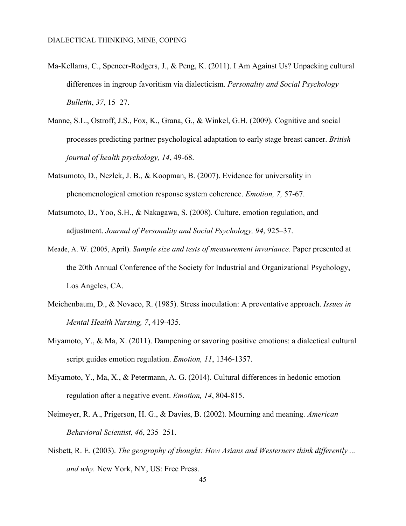- Ma-Kellams, C., Spencer-Rodgers, J., & Peng, K. (2011). I Am Against Us? Unpacking cultural differences in ingroup favoritism via dialecticism. *Personality and Social Psychology Bulletin*, *37*, 15–27.
- Manne, S.L., Ostroff, J.S., Fox, K., Grana, G., & Winkel, G.H. (2009). Cognitive and social processes predicting partner psychological adaptation to early stage breast cancer. *British journal of health psychology, 14*, 49-68.
- Matsumoto, D., Nezlek, J. B., & Koopman, B. (2007). Evidence for universality in phenomenological emotion response system coherence. *Emotion, 7,* 57-67.
- Matsumoto, D., Yoo, S.H., & Nakagawa, S. (2008). Culture, emotion regulation, and adjustment. *Journal of Personality and Social Psychology, 94*, 925–37.
- Meade, A. W. (2005, April). *Sample size and tests of measurement invariance.* Paper presented at the 20th Annual Conference of the Society for Industrial and Organizational Psychology, Los Angeles, CA.
- Meichenbaum, D., & Novaco, R. (1985). Stress inoculation: A preventative approach. *Issues in Mental Health Nursing, 7*, 419-435.
- Miyamoto, Y., & Ma, X. (2011). Dampening or savoring positive emotions: a dialectical cultural script guides emotion regulation. *Emotion, 11*, 1346-1357.
- Miyamoto, Y., Ma, X., & Petermann, A. G. (2014). Cultural differences in hedonic emotion regulation after a negative event. *Emotion, 14*, 804-815.
- Neimeyer, R. A., Prigerson, H. G., & Davies, B. (2002). Mourning and meaning. *American Behavioral Scientist*, *46*, 235–251.
- Nisbett, R. E. (2003). *The geography of thought: How Asians and Westerners think differently ... and why.* New York, NY, US: Free Press.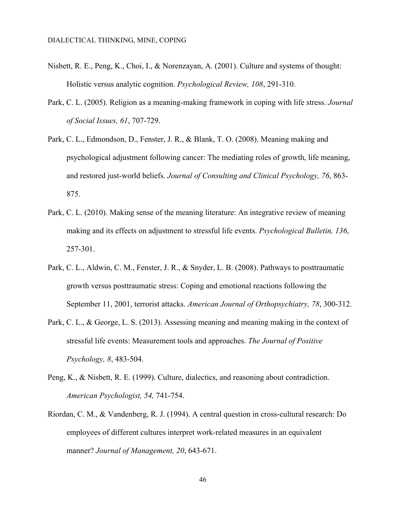- Nisbett, R. E., Peng, K., Choi, I., & Norenzayan, A. (2001). Culture and systems of thought: Holistic versus analytic cognition. *Psychological Review, 108*, 291-310.
- Park, C. L. (2005). Religion as a meaning-making framework in coping with life stress. *Journal of Social Issues, 61*, 707-729.
- Park, C. L., Edmondson, D., Fenster, J. R., & Blank, T. O. (2008). Meaning making and psychological adjustment following cancer: The mediating roles of growth, life meaning, and restored just-world beliefs. *Journal of Consulting and Clinical Psychology, 76*, 863- 875.
- Park, C. L. (2010). Making sense of the meaning literature: An integrative review of meaning making and its effects on adjustment to stressful life events. *Psychological Bulletin, 136*, 257-301.
- Park, C. L., Aldwin, C. M., Fenster, J. R., & Snyder, L. B. (2008). Pathways to posttraumatic growth versus posttraumatic stress: Coping and emotional reactions following the September 11, 2001, terrorist attacks. *American Journal of Orthopsychiatry, 78*, 300-312.
- Park, C. L., & George, L. S. (2013). Assessing meaning and meaning making in the context of stressful life events: Measurement tools and approaches. *The Journal of Positive Psychology, 8*, 483-504.
- Peng, K., & Nisbett, R. E. (1999). Culture, dialectics, and reasoning about contradiction. *American Psychologist, 54,* 741-754.
- Riordan, C. M., & Vandenberg, R. J. (1994). A central question in cross-cultural research: Do employees of different cultures interpret work-related measures in an equivalent manner? *Journal of Management, 20*, 643-671.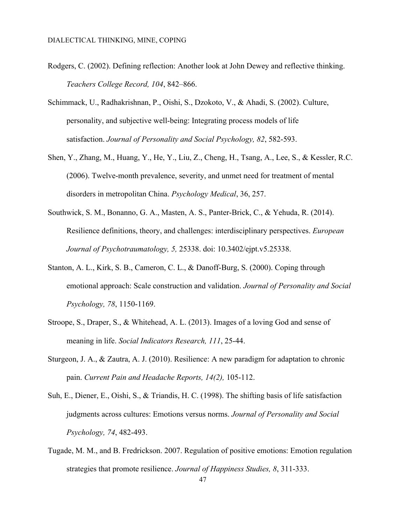- Rodgers, C. (2002). Defining reflection: Another look at John Dewey and reflective thinking. *Teachers College Record, 104*, 842–866.
- Schimmack, U., Radhakrishnan, P., Oishi, S., Dzokoto, V., & Ahadi, S. (2002). Culture, personality, and subjective well-being: Integrating process models of life satisfaction. *Journal of Personality and Social Psychology, 82*, 582-593.
- Shen, Y., Zhang, M., Huang, Y., He, Y., Liu, Z., Cheng, H., Tsang, A., Lee, S., & Kessler, R.C. (2006). Twelve-month prevalence, severity, and unmet need for treatment of mental disorders in metropolitan China. *Psychology Medical*, 36, 257.
- Southwick, S. M., Bonanno, G. A., Masten, A. S., Panter-Brick, C., & Yehuda, R. (2014). Resilience definitions, theory, and challenges: interdisciplinary perspectives. *European Journal of Psychotraumatology, 5,* 25338. doi: 10.3402/ejpt.v5.25338.
- Stanton, A. L., Kirk, S. B., Cameron, C. L., & Danoff-Burg, S. (2000). Coping through emotional approach: Scale construction and validation. *Journal of Personality and Social Psychology, 78*, 1150-1169.
- Stroope, S., Draper, S., & Whitehead, A. L. (2013). Images of a loving God and sense of meaning in life. *Social Indicators Research, 111*, 25-44.
- Sturgeon, J. A., & Zautra, A. J. (2010). Resilience: A new paradigm for adaptation to chronic pain. *Current Pain and Headache Reports, 14(2),* 105-112.
- Suh, E., Diener, E., Oishi, S., & Triandis, H. C. (1998). The shifting basis of life satisfaction judgments across cultures: Emotions versus norms. *Journal of Personality and Social Psychology, 74*, 482-493.
- Tugade, M. M., and B. Fredrickson. 2007. Regulation of positive emotions: Emotion regulation strategies that promote resilience. *Journal of Happiness Studies, 8*, 311-333.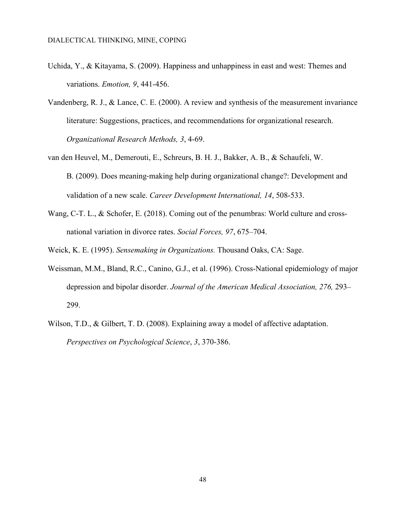- Uchida, Y., & Kitayama, S. (2009). Happiness and unhappiness in east and west: Themes and variations. *Emotion, 9*, 441-456.
- Vandenberg, R. J., & Lance, C. E. (2000). A review and synthesis of the measurement invariance literature: Suggestions, practices, and recommendations for organizational research. *Organizational Research Methods, 3*, 4-69.
- van den Heuvel, M., Demerouti, E., Schreurs, B. H. J., Bakker, A. B., & Schaufeli, W. B. (2009). Does meaning-making help during organizational change?: Development and validation of a new scale. *Career Development International, 14*, 508-533.
- Wang, C-T. L., & Schofer, E. (2018). Coming out of the penumbras: World culture and crossnational variation in divorce rates. *Social Forces, 97*, 675–704.
- Weick, K. E. (1995). *Sensemaking in Organizations.* Thousand Oaks, CA: Sage.
- Weissman, M.M., Bland, R.C., Canino, G.J., et al. (1996). Cross-National epidemiology of major depression and bipolar disorder. *Journal of the American Medical Association, 276,* 293– 299.
- Wilson, T.D., & Gilbert, T. D. (2008). Explaining away a model of affective adaptation. *Perspectives on Psychological Science*, *3*, 370-386.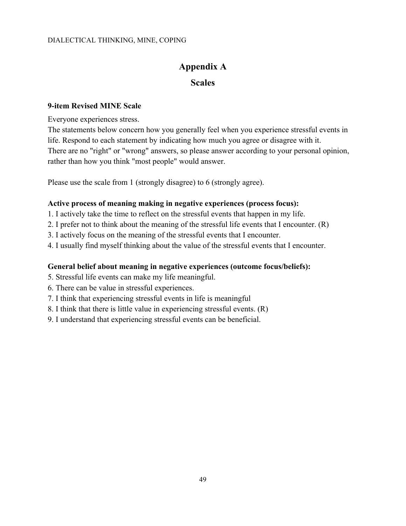## **Appendix A**

### **Scales**

### **9-item Revised MINE Scale**

Everyone experiences stress.

The statements below concern how you generally feel when you experience stressful events in life. Respond to each statement by indicating how much you agree or disagree with it. There are no "right" or "wrong" answers, so please answer according to your personal opinion, rather than how you think "most people" would answer.

Please use the scale from 1 (strongly disagree) to 6 (strongly agree).

### **Active process of meaning making in negative experiences (process focus):**

- 1. I actively take the time to reflect on the stressful events that happen in my life.
- 2. I prefer not to think about the meaning of the stressful life events that I encounter. (R)
- 3. I actively focus on the meaning of the stressful events that I encounter.
- 4. I usually find myself thinking about the value of the stressful events that I encounter.

### **General belief about meaning in negative experiences (outcome focus/beliefs):**

- 5. Stressful life events can make my life meaningful.
- 6. There can be value in stressful experiences.
- 7. I think that experiencing stressful events in life is meaningful
- 8. I think that there is little value in experiencing stressful events. (R)
- 9. I understand that experiencing stressful events can be beneficial.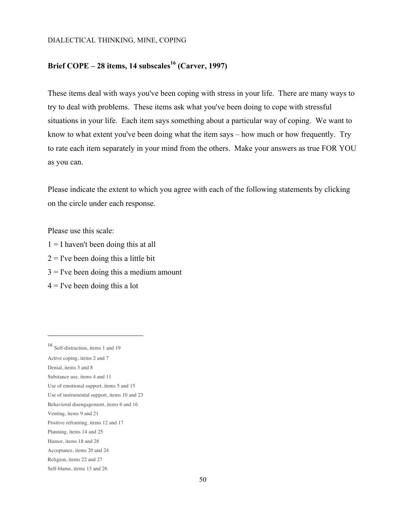### **Brief COPE – 28 items, 14 subscales<sup>16</sup> (Carver, 1997)**

These items deal with ways you've been coping with stress in your life. There are many ways to try to deal with problems. These items ask what you've been doing to cope with stressful situations in your life. Each item says something about a particular way of coping. We want to know to what extent you've been doing what the item says – how much or how frequently. Try to rate each item separately in your mind from the others. Make your answers as true FOR YOU as you can.

Please indicate the extent to which you agree with each of the following statements by clicking on the circle under each response.

Please use this scale:

- $1 = I$  haven't been doing this at all
- $2 =$  I've been doing this a little bit
- $3 =$  I've been doing this a medium amount
- $4 =$  I've been doing this a lot

 $\overline{a}$ 

<sup>16</sup> Self-distraction, items 1 and 19

Active coping, items 2 and 7

Denial, items 3 and 8

Substance use, items 4 and 11

Use of emotional support, items 5 and 15

Use of instrumental support, items 10 and 23

Behavioral disengagement, items 6 and 16

Venting, items 9 and 21

Positive reframing, items 12 and 17

Planning, items 14 and 25

Humor, items 18 and 28

Acceptance, items 20 and 24

Religion, items 22 and 27

Self-blame, items 13 and 26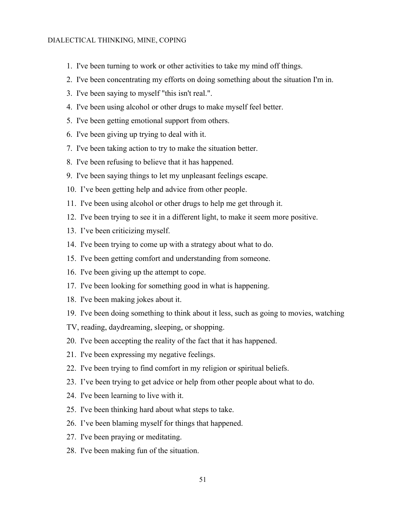- 1. I've been turning to work or other activities to take my mind off things.
- 2. I've been concentrating my efforts on doing something about the situation I'm in.
- 3. I've been saying to myself "this isn't real.".
- 4. I've been using alcohol or other drugs to make myself feel better.
- 5. I've been getting emotional support from others.
- 6. I've been giving up trying to deal with it.
- 7. I've been taking action to try to make the situation better.
- 8. I've been refusing to believe that it has happened.
- 9. I've been saying things to let my unpleasant feelings escape.
- 10. I've been getting help and advice from other people.
- 11. I've been using alcohol or other drugs to help me get through it.
- 12. I've been trying to see it in a different light, to make it seem more positive.
- 13. I've been criticizing myself.
- 14. I've been trying to come up with a strategy about what to do.
- 15. I've been getting comfort and understanding from someone.
- 16. I've been giving up the attempt to cope.
- 17. I've been looking for something good in what is happening.
- 18. I've been making jokes about it.
- 19. I've been doing something to think about it less, such as going to movies, watching
- TV, reading, daydreaming, sleeping, or shopping.
- 20. I've been accepting the reality of the fact that it has happened.
- 21. I've been expressing my negative feelings.
- 22. I've been trying to find comfort in my religion or spiritual beliefs.
- 23. I've been trying to get advice or help from other people about what to do.
- 24. I've been learning to live with it.
- 25. I've been thinking hard about what steps to take.
- 26. I've been blaming myself for things that happened.
- 27. I've been praying or meditating.
- 28. I've been making fun of the situation.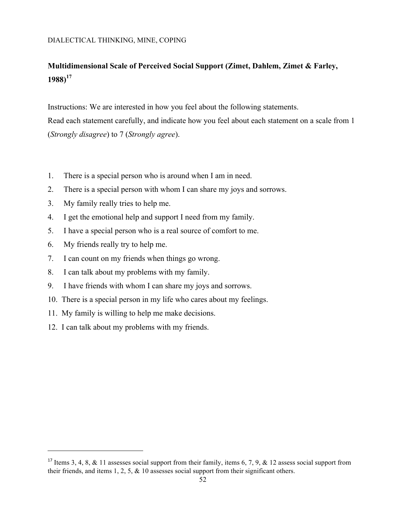## **Multidimensional Scale of Perceived Social Support (Zimet, Dahlem, Zimet & Farley, 1988)<sup>17</sup>**

Instructions: We are interested in how you feel about the following statements. Read each statement carefully, and indicate how you feel about each statement on a scale from 1 (*Strongly disagree*) to 7 (*Strongly agree*).

- 1. There is a special person who is around when I am in need.
- 2. There is a special person with whom I can share my joys and sorrows.
- 3. My family really tries to help me.
- 4. I get the emotional help and support I need from my family.
- 5. I have a special person who is a real source of comfort to me.
- 6. My friends really try to help me.

l

- 7. I can count on my friends when things go wrong.
- 8. I can talk about my problems with my family.
- 9. I have friends with whom I can share my joys and sorrows.
- 10. There is a special person in my life who cares about my feelings.
- 11. My family is willing to help me make decisions.
- 12. I can talk about my problems with my friends.

<sup>&</sup>lt;sup>17</sup> Items 3, 4, 8, & 11 assesses social support from their family, items 6, 7, 9, & 12 assess social support from their friends, and items 1, 2, 5,  $\&$  10 assesses social support from their significant others.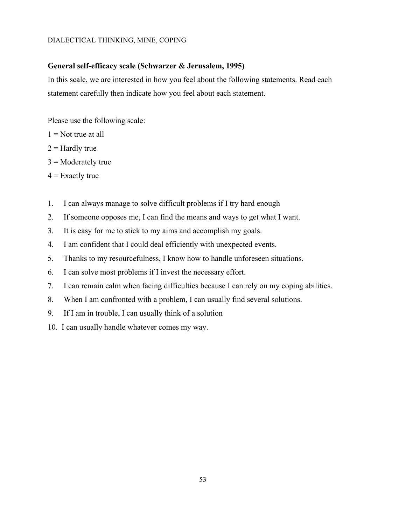#### **General self-efficacy scale (Schwarzer & Jerusalem, 1995)**

In this scale, we are interested in how you feel about the following statements. Read each statement carefully then indicate how you feel about each statement.

Please use the following scale:

- $1 =$  Not true at all
- $2 =$  Hardly true
- $3$  = Moderately true
- $4 =$  Exactly true
- 1. I can always manage to solve difficult problems if I try hard enough
- 2. If someone opposes me, I can find the means and ways to get what I want.
- 3. It is easy for me to stick to my aims and accomplish my goals.
- 4. I am confident that I could deal efficiently with unexpected events.
- 5. Thanks to my resourcefulness, I know how to handle unforeseen situations.
- 6. I can solve most problems if I invest the necessary effort.
- 7. I can remain calm when facing difficulties because I can rely on my coping abilities.
- 8. When I am confronted with a problem, I can usually find several solutions.
- 9. If I am in trouble, I can usually think of a solution
- 10. I can usually handle whatever comes my way.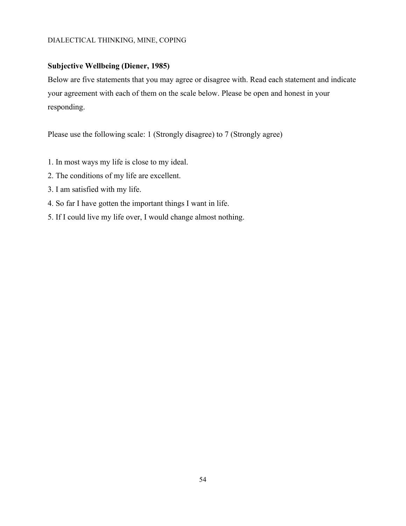### **Subjective Wellbeing (Diener, 1985)**

Below are five statements that you may agree or disagree with. Read each statement and indicate your agreement with each of them on the scale below. Please be open and honest in your responding.

Please use the following scale: 1 (Strongly disagree) to 7 (Strongly agree)

- 1. In most ways my life is close to my ideal.
- 2. The conditions of my life are excellent.
- 3. I am satisfied with my life.
- 4. So far I have gotten the important things I want in life.
- 5. If I could live my life over, I would change almost nothing.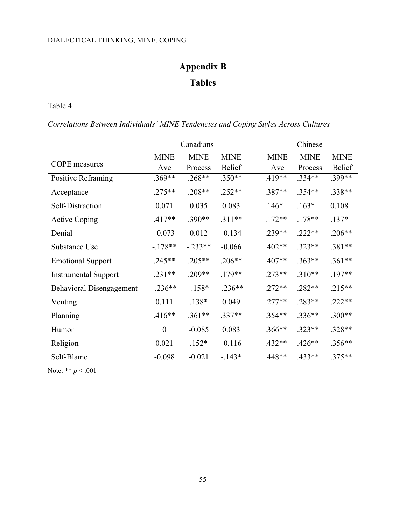# **Appendix B Tables**

Table 4

*Correlations Between Individuals' MINE Tendencies and Coping Styles Across Cultures*

|                                 | Canadians        |             |               | Chinese     |             |               |
|---------------------------------|------------------|-------------|---------------|-------------|-------------|---------------|
|                                 | <b>MINE</b>      | <b>MINE</b> | <b>MINE</b>   | <b>MINE</b> | <b>MINE</b> | <b>MINE</b>   |
| <b>COPE</b> measures            | Ave              | Process     | <b>Belief</b> | Ave         | Process     | <b>Belief</b> |
| Positive Reframing              | .369**           | $.268**$    | $.350**$      | $.419**$    | $.334**$    | .399**        |
| Acceptance                      | $.275**$         | $.208**$    | $.252**$      | $.387**$    | $.354**$    | $.338**$      |
| Self-Distraction                | 0.071            | 0.035       | 0.083         | $.146*$     | $.163*$     | 0.108         |
| <b>Active Coping</b>            | $.417**$         | $.390**$    | $.311**$      | $.172**$    | $.178**$    | $.137*$       |
| Denial                          | $-0.073$         | 0.012       | $-0.134$      | $.239**$    | $.222**$    | $.206**$      |
| Substance Use                   | $-178**$         | $-.233**$   | $-0.066$      | $.402**$    | $.323**$    | .381**        |
| <b>Emotional Support</b>        | $.245**$         | $.205**$    | $.206**$      | $.407**$    | $.363**$    | .361**        |
| <b>Instrumental Support</b>     | $.231**$         | $.209**$    | $.179**$      | $.273**$    | $.310**$    | $.197**$      |
| <b>Behavioral Disengagement</b> | $-.236**$        | $-158*$     | $-.236**$     | $.272**$    | $.282**$    | $.215**$      |
| Venting                         | 0.111            | $.138*$     | 0.049         | $.277**$    | $.283**$    | $.222**$      |
| Planning                        | $.416**$         | $.361**$    | $.337**$      | $.354**$    | $.336**$    | $.300**$      |
| Humor                           | $\boldsymbol{0}$ | $-0.085$    | 0.083         | $.366**$    | $.323**$    | $.328**$      |
| Religion                        | 0.021            | $.152*$     | $-0.116$      | $.432**$    | $.426**$    | $.356**$      |
| Self-Blame                      | $-0.098$         | $-0.021$    | $-143*$       | $.448**$    | $.433**$    | $.375**$      |

Note: \*\* *p* < .001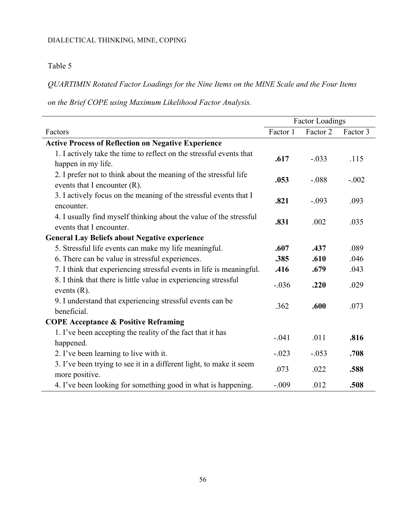### Table 5

*QUARTIMIN Rotated Factor Loadings for the Nine Items on the MINE Scale and the Four Items* 

*on the Brief COPE using Maximum Likelihood Factor Analysis.*

|                                                                                                     |          | <b>Factor Loadings</b> |          |
|-----------------------------------------------------------------------------------------------------|----------|------------------------|----------|
| Factors                                                                                             | Factor 1 | Factor 2               | Factor 3 |
| <b>Active Process of Reflection on Negative Experience</b>                                          |          |                        |          |
| 1. I actively take the time to reflect on the stressful events that<br>happen in my life.           | .617     | $-.033$                | .115     |
| 2. I prefer not to think about the meaning of the stressful life<br>events that I encounter $(R)$ . | .053     | $-.088$                | $-.002$  |
| 3. I actively focus on the meaning of the stressful events that I<br>encounter.                     | .821     | $-.093$                | .093     |
| 4. I usually find myself thinking about the value of the stressful<br>events that I encounter.      | .831     | .002                   | .035     |
| <b>General Lay Beliefs about Negative experience</b>                                                |          |                        |          |
| 5. Stressful life events can make my life meaningful.                                               | .607     | .437                   | .089     |
| 6. There can be value in stressful experiences.                                                     | .385     | .610                   | .046     |
| 7. I think that experiencing stressful events in life is meaningful.                                | .416     | .679                   | .043     |
| 8. I think that there is little value in experiencing stressful<br>events $(R)$ .                   | $-.036$  | .220                   | .029     |
| 9. I understand that experiencing stressful events can be<br>beneficial.                            | .362     | .600                   | .073     |
| <b>COPE Acceptance &amp; Positive Reframing</b>                                                     |          |                        |          |
| 1. I've been accepting the reality of the fact that it has<br>happened.                             | $-.041$  | .011                   | .816     |
| 2. I've been learning to live with it.                                                              | $-.023$  | $-.053$                | .708     |
| 3. I've been trying to see it in a different light, to make it seem<br>more positive.               | .073     | .022                   | .588     |
| 4. I've been looking for something good in what is happening.                                       | $-.009$  | .012                   | .508     |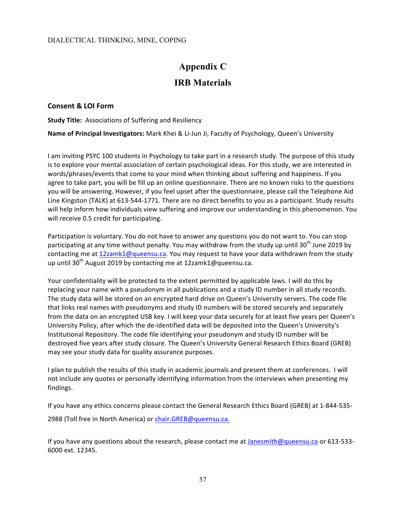# **Appendix C IRB Materials**

#### **Consent & LOI Form**

**Study Title:** Associations of Suffering and Resiliency

**Name of Principal Investigators:** Mark Khei & Li-Jun Ji, Faculty of Psychology, Queen's University

I am inviting PSYC 100 students in Psychology to take part in a research study. The purpose of this study is to explore your mental association of certain psychological ideas. For this study, we are interested in words/phrases/events that come to your mind when thinking about suffering and happiness. If you agree to take part, you will be fill up an online questionnaire. There are no known risks to the questions you will be answering. However, if you feel upset after the questionnaire, please call the Telephone Aid Line Kingston (TALK) at 613-544-1771. There are no direct benefits to you as a participant. Study results will help inform how individuals view suffering and improve our understanding in this phenomenon. You will receive 0.5 credit for participating.

Participation is voluntary. You do not have to answer any questions you do not want to. You can stop participating at any time without penalty. You may withdraw from the study up until 30<sup>th</sup> June 2019 by contacting me at 12zamk1@queensu.ca. You may request to have your data withdrawn from the study up until 30<sup>th</sup> August 2019 by contacting me at 12zamk1@queensu.ca.

Your confidentiality will be protected to the extent permitted by applicable laws. I will do this by replacing your name with a pseudonym in all publications and a study ID number in all study records. The study data will be stored on an encrypted hard drive on Queen's University servers. The code file that links real names with pseudonyms and study ID numbers will be stored securely and separately from the data on an encrypted USB key. I will keep your data securely for at least five years per Queen's University Policy, after which the de-identified data will be deposited into the Queen's University's Institutional Repository. The code file identifying your pseudonym and study ID number will be destroyed five years after study closure. The Queen's University General Research Ethics Board (GREB) may see your study data for quality assurance purposes.

I plan to publish the results of this study in academic journals and present them at conferences. I will not include any quotes or personally identifying information from the interviews when presenting my findings.

If you have any ethics concerns please contact the General Research Ethics Board (GREB) at 1-844-535-

2988 (Toll free in North America) or chair.GREB@queensu.ca.

If you have any questions about the research, please contact me at Janesmith@queensu.ca or 613-533-6000 ext. 12345.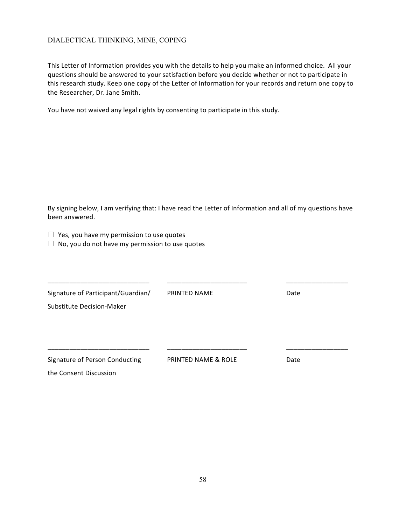This Letter of Information provides you with the details to help you make an informed choice. All your questions should be answered to your satisfaction before you decide whether or not to participate in this research study. Keep one copy of the Letter of Information for your records and return one copy to the Researcher, Dr. Jane Smith.

You have not waived any legal rights by consenting to participate in this study.

By signing below, I am verifying that: I have read the Letter of Information and all of my questions have been answered.

|  |  |  | $\Box$ Yes, you have my permission to use quotes |  |  |
|--|--|--|--------------------------------------------------|--|--|
|--|--|--|--------------------------------------------------|--|--|

 $\Box$  No, you do not have my permission to use quotes

| Signature of Participant/Guardian/ | PRINTED NAME                   | Date |  |
|------------------------------------|--------------------------------|------|--|
| Substitute Decision-Maker          |                                |      |  |
|                                    |                                |      |  |
|                                    |                                |      |  |
|                                    |                                |      |  |
| Signature of Person Conducting     | <b>PRINTED NAME &amp; ROLE</b> | Date |  |
| the Consent Discussion             |                                |      |  |